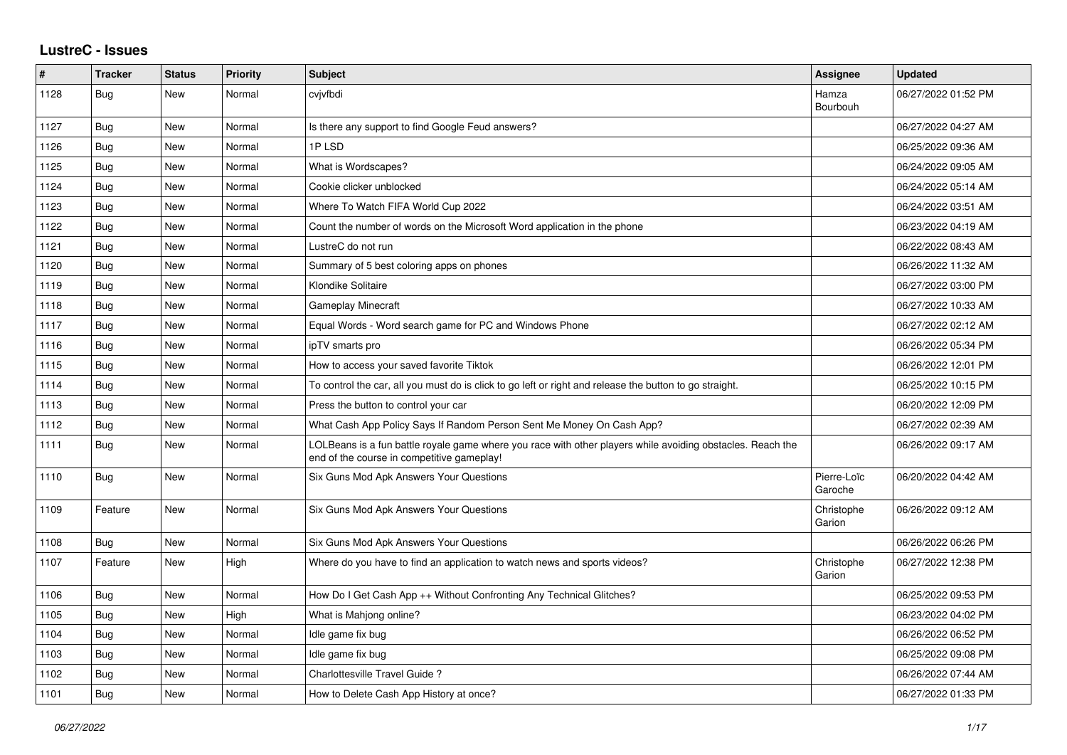## **LustreC - Issues**

| $\pmb{\#}$ | <b>Tracker</b> | <b>Status</b> | <b>Priority</b> | <b>Subject</b>                                                                                                                                           | Assignee               | <b>Updated</b>      |
|------------|----------------|---------------|-----------------|----------------------------------------------------------------------------------------------------------------------------------------------------------|------------------------|---------------------|
| 1128       | <b>Bug</b>     | New           | Normal          | cvjvfbdi                                                                                                                                                 | Hamza<br>Bourbouh      | 06/27/2022 01:52 PM |
| 1127       | Bug            | New           | Normal          | Is there any support to find Google Feud answers?                                                                                                        |                        | 06/27/2022 04:27 AM |
| 1126       | Bug            | New           | Normal          | 1PLSD                                                                                                                                                    |                        | 06/25/2022 09:36 AM |
| 1125       | <b>Bug</b>     | New           | Normal          | What is Wordscapes?                                                                                                                                      |                        | 06/24/2022 09:05 AM |
| 1124       | Bug            | New           | Normal          | Cookie clicker unblocked                                                                                                                                 |                        | 06/24/2022 05:14 AM |
| 1123       | <b>Bug</b>     | <b>New</b>    | Normal          | Where To Watch FIFA World Cup 2022                                                                                                                       |                        | 06/24/2022 03:51 AM |
| 1122       | <b>Bug</b>     | New           | Normal          | Count the number of words on the Microsoft Word application in the phone                                                                                 |                        | 06/23/2022 04:19 AM |
| 1121       | Bug            | New           | Normal          | LustreC do not run                                                                                                                                       |                        | 06/22/2022 08:43 AM |
| 1120       | Bug            | <b>New</b>    | Normal          | Summary of 5 best coloring apps on phones                                                                                                                |                        | 06/26/2022 11:32 AM |
| 1119       | Bug            | New           | Normal          | Klondike Solitaire                                                                                                                                       |                        | 06/27/2022 03:00 PM |
| 1118       | Bug            | New           | Normal          | Gameplay Minecraft                                                                                                                                       |                        | 06/27/2022 10:33 AM |
| 1117       | Bug            | New           | Normal          | Equal Words - Word search game for PC and Windows Phone                                                                                                  |                        | 06/27/2022 02:12 AM |
| 1116       | Bug            | <b>New</b>    | Normal          | ipTV smarts pro                                                                                                                                          |                        | 06/26/2022 05:34 PM |
| 1115       | Bug            | New           | Normal          | How to access your saved favorite Tiktok                                                                                                                 |                        | 06/26/2022 12:01 PM |
| 1114       | <b>Bug</b>     | <b>New</b>    | Normal          | To control the car, all you must do is click to go left or right and release the button to go straight.                                                  |                        | 06/25/2022 10:15 PM |
| 1113       | Bug            | New           | Normal          | Press the button to control your car                                                                                                                     |                        | 06/20/2022 12:09 PM |
| 1112       | Bug            | New           | Normal          | What Cash App Policy Says If Random Person Sent Me Money On Cash App?                                                                                    |                        | 06/27/2022 02:39 AM |
| 1111       | Bug            | New           | Normal          | LOLBeans is a fun battle royale game where you race with other players while avoiding obstacles. Reach the<br>end of the course in competitive gameplay! |                        | 06/26/2022 09:17 AM |
| 1110       | <b>Bug</b>     | <b>New</b>    | Normal          | Six Guns Mod Apk Answers Your Questions                                                                                                                  | Pierre-Loïc<br>Garoche | 06/20/2022 04:42 AM |
| 1109       | Feature        | New           | Normal          | Six Guns Mod Apk Answers Your Questions                                                                                                                  | Christophe<br>Garion   | 06/26/2022 09:12 AM |
| 1108       | Bug            | New           | Normal          | Six Guns Mod Apk Answers Your Questions                                                                                                                  |                        | 06/26/2022 06:26 PM |
| 1107       | Feature        | New           | High            | Where do you have to find an application to watch news and sports videos?                                                                                | Christophe<br>Garion   | 06/27/2022 12:38 PM |
| 1106       | Bug            | <b>New</b>    | Normal          | How Do I Get Cash App ++ Without Confronting Any Technical Glitches?                                                                                     |                        | 06/25/2022 09:53 PM |
| 1105       | Bug            | New           | High            | What is Mahjong online?                                                                                                                                  |                        | 06/23/2022 04:02 PM |
| 1104       | Bug            | New           | Normal          | Idle game fix bug                                                                                                                                        |                        | 06/26/2022 06:52 PM |
| 1103       | Bug            | New           | Normal          | Idle game fix bug                                                                                                                                        |                        | 06/25/2022 09:08 PM |
| 1102       | Bug            | New           | Normal          | Charlottesville Travel Guide?                                                                                                                            |                        | 06/26/2022 07:44 AM |
| 1101       | <b>Bug</b>     | New           | Normal          | How to Delete Cash App History at once?                                                                                                                  |                        | 06/27/2022 01:33 PM |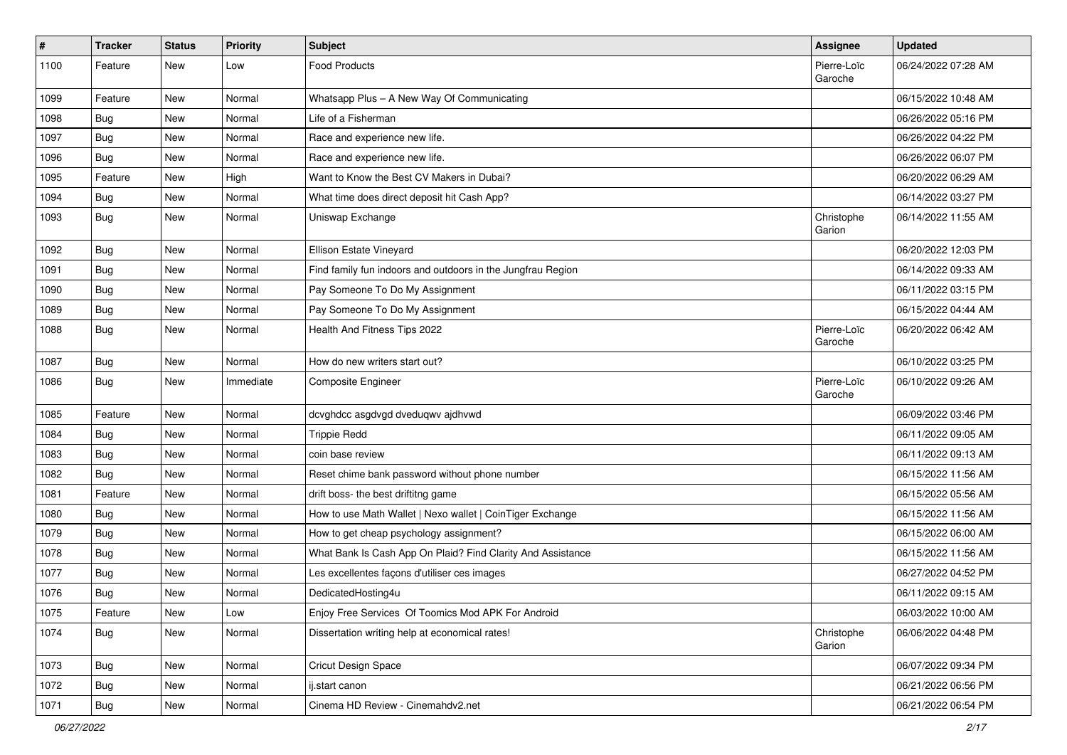| $\vert$ # | <b>Tracker</b> | <b>Status</b> | <b>Priority</b> | Subject                                                     | <b>Assignee</b>        | <b>Updated</b>      |
|-----------|----------------|---------------|-----------------|-------------------------------------------------------------|------------------------|---------------------|
| 1100      | Feature        | New           | Low             | <b>Food Products</b>                                        | Pierre-Loïc<br>Garoche | 06/24/2022 07:28 AM |
| 1099      | Feature        | New           | Normal          | Whatsapp Plus - A New Way Of Communicating                  |                        | 06/15/2022 10:48 AM |
| 1098      | Bug            | New           | Normal          | Life of a Fisherman                                         |                        | 06/26/2022 05:16 PM |
| 1097      | Bug            | New           | Normal          | Race and experience new life.                               |                        | 06/26/2022 04:22 PM |
| 1096      | Bug            | New           | Normal          | Race and experience new life.                               |                        | 06/26/2022 06:07 PM |
| 1095      | Feature        | <b>New</b>    | High            | Want to Know the Best CV Makers in Dubai?                   |                        | 06/20/2022 06:29 AM |
| 1094      | Bug            | New           | Normal          | What time does direct deposit hit Cash App?                 |                        | 06/14/2022 03:27 PM |
| 1093      | Bug            | New           | Normal          | Uniswap Exchange                                            | Christophe<br>Garion   | 06/14/2022 11:55 AM |
| 1092      | Bug            | New           | Normal          | Ellison Estate Vineyard                                     |                        | 06/20/2022 12:03 PM |
| 1091      | <b>Bug</b>     | New           | Normal          | Find family fun indoors and outdoors in the Jungfrau Region |                        | 06/14/2022 09:33 AM |
| 1090      | Bug            | New           | Normal          | Pay Someone To Do My Assignment                             |                        | 06/11/2022 03:15 PM |
| 1089      | Bug            | New           | Normal          | Pay Someone To Do My Assignment                             |                        | 06/15/2022 04:44 AM |
| 1088      | <b>Bug</b>     | New           | Normal          | Health And Fitness Tips 2022                                | Pierre-Loïc<br>Garoche | 06/20/2022 06:42 AM |
| 1087      | <b>Bug</b>     | New           | Normal          | How do new writers start out?                               |                        | 06/10/2022 03:25 PM |
| 1086      | Bug            | New           | Immediate       | <b>Composite Engineer</b>                                   | Pierre-Loïc<br>Garoche | 06/10/2022 09:26 AM |
| 1085      | Feature        | <b>New</b>    | Normal          | dcvghdcc asgdvgd dveduqwv ajdhvwd                           |                        | 06/09/2022 03:46 PM |
| 1084      | Bug            | New           | Normal          | <b>Trippie Redd</b>                                         |                        | 06/11/2022 09:05 AM |
| 1083      | Bug            | New           | Normal          | coin base review                                            |                        | 06/11/2022 09:13 AM |
| 1082      | <b>Bug</b>     | New           | Normal          | Reset chime bank password without phone number              |                        | 06/15/2022 11:56 AM |
| 1081      | Feature        | New           | Normal          | drift boss- the best driftitng game                         |                        | 06/15/2022 05:56 AM |
| 1080      | <b>Bug</b>     | New           | Normal          | How to use Math Wallet   Nexo wallet   CoinTiger Exchange   |                        | 06/15/2022 11:56 AM |
| 1079      | Bug            | New           | Normal          | How to get cheap psychology assignment?                     |                        | 06/15/2022 06:00 AM |
| 1078      | Bug            | New           | Normal          | What Bank Is Cash App On Plaid? Find Clarity And Assistance |                        | 06/15/2022 11:56 AM |
| 1077      | Bug            | New           | Normal          | Les excellentes façons d'utiliser ces images                |                        | 06/27/2022 04:52 PM |
| 1076      | <b>Bug</b>     | New           | Normal          | DedicatedHosting4u                                          |                        | 06/11/2022 09:15 AM |
| 1075      | Feature        | New           | Low             | Enjoy Free Services Of Toomics Mod APK For Android          |                        | 06/03/2022 10:00 AM |
| 1074      | Bug            | New           | Normal          | Dissertation writing help at economical rates!              | Christophe<br>Garion   | 06/06/2022 04:48 PM |
| 1073      | Bug            | New           | Normal          | Cricut Design Space                                         |                        | 06/07/2022 09:34 PM |
| 1072      | <b>Bug</b>     | New           | Normal          | ij.start canon                                              |                        | 06/21/2022 06:56 PM |
| 1071      | Bug            | New           | Normal          | Cinema HD Review - Cinemahdv2.net                           |                        | 06/21/2022 06:54 PM |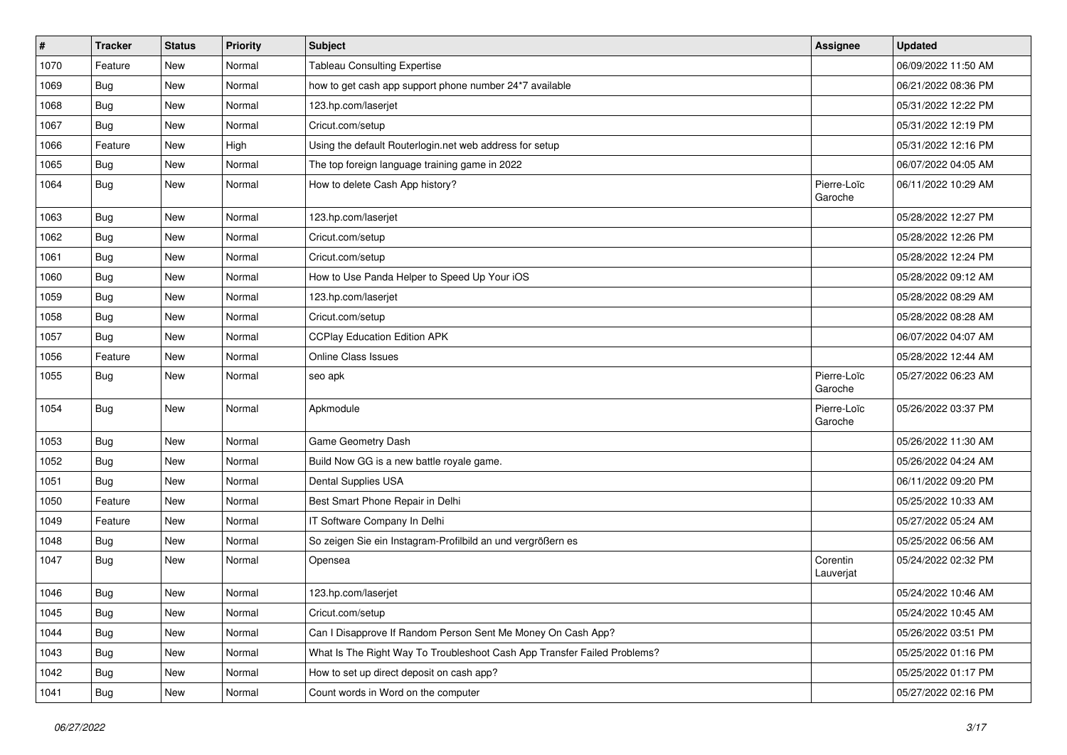| #    | <b>Tracker</b> | <b>Status</b> | <b>Priority</b> | Subject                                                                  | <b>Assignee</b>        | <b>Updated</b>      |
|------|----------------|---------------|-----------------|--------------------------------------------------------------------------|------------------------|---------------------|
| 1070 | Feature        | New           | Normal          | <b>Tableau Consulting Expertise</b>                                      |                        | 06/09/2022 11:50 AM |
| 1069 | Bug            | <b>New</b>    | Normal          | how to get cash app support phone number 24*7 available                  |                        | 06/21/2022 08:36 PM |
| 1068 | Bug            | New           | Normal          | 123.hp.com/laserjet                                                      |                        | 05/31/2022 12:22 PM |
| 1067 | Bug            | New           | Normal          | Cricut.com/setup                                                         |                        | 05/31/2022 12:19 PM |
| 1066 | Feature        | <b>New</b>    | High            | Using the default Routerlogin.net web address for setup                  |                        | 05/31/2022 12:16 PM |
| 1065 | Bug            | New           | Normal          | The top foreign language training game in 2022                           |                        | 06/07/2022 04:05 AM |
| 1064 | Bug            | New           | Normal          | How to delete Cash App history?                                          | Pierre-Loïc<br>Garoche | 06/11/2022 10:29 AM |
| 1063 | Bug            | <b>New</b>    | Normal          | 123.hp.com/laserjet                                                      |                        | 05/28/2022 12:27 PM |
| 1062 | Bug            | <b>New</b>    | Normal          | Cricut.com/setup                                                         |                        | 05/28/2022 12:26 PM |
| 1061 | Bug            | New           | Normal          | Cricut.com/setup                                                         |                        | 05/28/2022 12:24 PM |
| 1060 | Bug            | New           | Normal          | How to Use Panda Helper to Speed Up Your iOS                             |                        | 05/28/2022 09:12 AM |
| 1059 | <b>Bug</b>     | New           | Normal          | 123.hp.com/laserjet                                                      |                        | 05/28/2022 08:29 AM |
| 1058 | Bug            | New           | Normal          | Cricut.com/setup                                                         |                        | 05/28/2022 08:28 AM |
| 1057 | Bug            | New           | Normal          | <b>CCPlay Education Edition APK</b>                                      |                        | 06/07/2022 04:07 AM |
| 1056 | Feature        | New           | Normal          | Online Class Issues                                                      |                        | 05/28/2022 12:44 AM |
| 1055 | Bug            | New           | Normal          | seo apk                                                                  | Pierre-Loïc<br>Garoche | 05/27/2022 06:23 AM |
| 1054 | Bug            | New           | Normal          | Apkmodule                                                                | Pierre-Loïc<br>Garoche | 05/26/2022 03:37 PM |
| 1053 | <b>Bug</b>     | New           | Normal          | Game Geometry Dash                                                       |                        | 05/26/2022 11:30 AM |
| 1052 | Bug            | New           | Normal          | Build Now GG is a new battle royale game.                                |                        | 05/26/2022 04:24 AM |
| 1051 | Bug            | <b>New</b>    | Normal          | Dental Supplies USA                                                      |                        | 06/11/2022 09:20 PM |
| 1050 | Feature        | New           | Normal          | Best Smart Phone Repair in Delhi                                         |                        | 05/25/2022 10:33 AM |
| 1049 | Feature        | New           | Normal          | IT Software Company In Delhi                                             |                        | 05/27/2022 05:24 AM |
| 1048 | Bug            | New           | Normal          | So zeigen Sie ein Instagram-Profilbild an und vergrößern es              |                        | 05/25/2022 06:56 AM |
| 1047 | Bug            | New           | Normal          | Opensea                                                                  | Corentin<br>Lauverjat  | 05/24/2022 02:32 PM |
| 1046 | Bug            | New           | Normal          | 123.hp.com/laserjet                                                      |                        | 05/24/2022 10:46 AM |
| 1045 | <b>Bug</b>     | New           | Normal          | Cricut.com/setup                                                         |                        | 05/24/2022 10:45 AM |
| 1044 | <b>Bug</b>     | New           | Normal          | Can I Disapprove If Random Person Sent Me Money On Cash App?             |                        | 05/26/2022 03:51 PM |
| 1043 | <b>Bug</b>     | New           | Normal          | What Is The Right Way To Troubleshoot Cash App Transfer Failed Problems? |                        | 05/25/2022 01:16 PM |
| 1042 | <b>Bug</b>     | New           | Normal          | How to set up direct deposit on cash app?                                |                        | 05/25/2022 01:17 PM |
| 1041 | <b>Bug</b>     | New           | Normal          | Count words in Word on the computer                                      |                        | 05/27/2022 02:16 PM |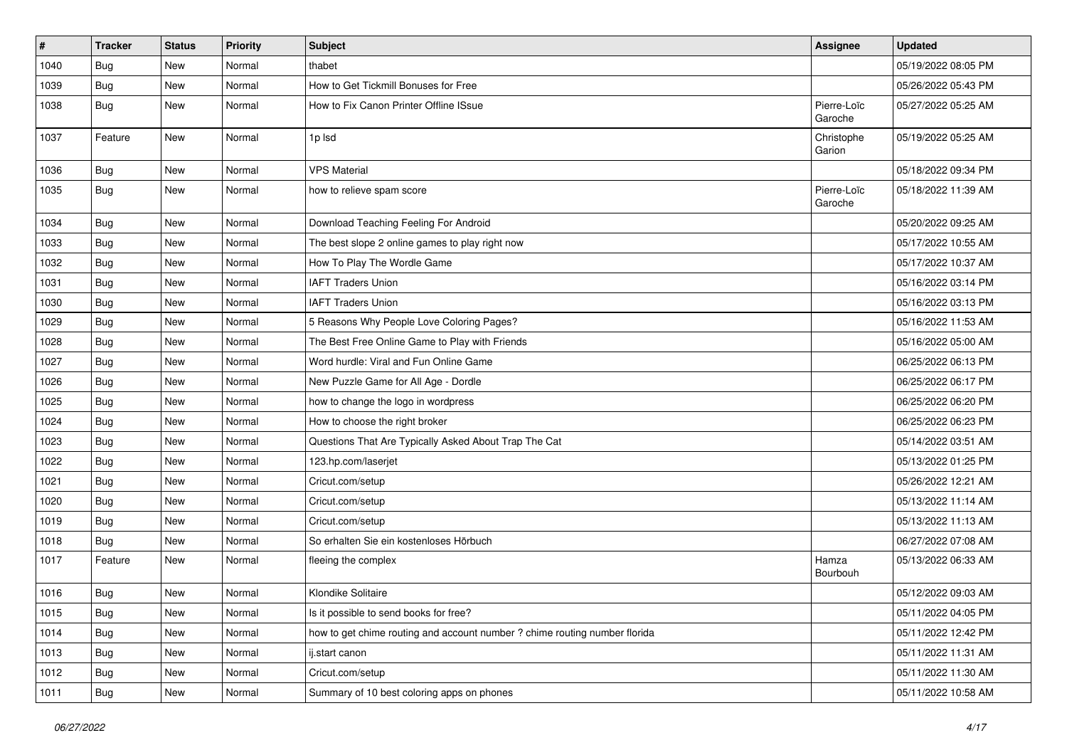| #    | <b>Tracker</b> | <b>Status</b> | <b>Priority</b> | Subject                                                                    | <b>Assignee</b>        | <b>Updated</b>      |
|------|----------------|---------------|-----------------|----------------------------------------------------------------------------|------------------------|---------------------|
| 1040 | Bug            | New           | Normal          | thabet                                                                     |                        | 05/19/2022 08:05 PM |
| 1039 | <b>Bug</b>     | <b>New</b>    | Normal          | How to Get Tickmill Bonuses for Free                                       |                        | 05/26/2022 05:43 PM |
| 1038 | Bug            | New           | Normal          | How to Fix Canon Printer Offline ISsue                                     | Pierre-Loïc<br>Garoche | 05/27/2022 05:25 AM |
| 1037 | Feature        | <b>New</b>    | Normal          | 1p Isd                                                                     | Christophe<br>Garion   | 05/19/2022 05:25 AM |
| 1036 | Bug            | New           | Normal          | <b>VPS Material</b>                                                        |                        | 05/18/2022 09:34 PM |
| 1035 | <b>Bug</b>     | New           | Normal          | how to relieve spam score                                                  | Pierre-Loïc<br>Garoche | 05/18/2022 11:39 AM |
| 1034 | <b>Bug</b>     | <b>New</b>    | Normal          | Download Teaching Feeling For Android                                      |                        | 05/20/2022 09:25 AM |
| 1033 | Bug            | New           | Normal          | The best slope 2 online games to play right now                            |                        | 05/17/2022 10:55 AM |
| 1032 | Bug            | New           | Normal          | How To Play The Wordle Game                                                |                        | 05/17/2022 10:37 AM |
| 1031 | Bug            | <b>New</b>    | Normal          | <b>IAFT Traders Union</b>                                                  |                        | 05/16/2022 03:14 PM |
| 1030 | Bug            | New           | Normal          | <b>IAFT Traders Union</b>                                                  |                        | 05/16/2022 03:13 PM |
| 1029 | <b>Bug</b>     | New           | Normal          | 5 Reasons Why People Love Coloring Pages?                                  |                        | 05/16/2022 11:53 AM |
| 1028 | <b>Bug</b>     | New           | Normal          | The Best Free Online Game to Play with Friends                             |                        | 05/16/2022 05:00 AM |
| 1027 | Bug            | New           | Normal          | Word hurdle: Viral and Fun Online Game                                     |                        | 06/25/2022 06:13 PM |
| 1026 | Bug            | New           | Normal          | New Puzzle Game for All Age - Dordle                                       |                        | 06/25/2022 06:17 PM |
| 1025 | <b>Bug</b>     | New           | Normal          | how to change the logo in wordpress                                        |                        | 06/25/2022 06:20 PM |
| 1024 | Bug            | New           | Normal          | How to choose the right broker                                             |                        | 06/25/2022 06:23 PM |
| 1023 | Bug            | New           | Normal          | Questions That Are Typically Asked About Trap The Cat                      |                        | 05/14/2022 03:51 AM |
| 1022 | Bug            | New           | Normal          | 123.hp.com/laserjet                                                        |                        | 05/13/2022 01:25 PM |
| 1021 | Bug            | <b>New</b>    | Normal          | Cricut.com/setup                                                           |                        | 05/26/2022 12:21 AM |
| 1020 | Bug            | New           | Normal          | Cricut.com/setup                                                           |                        | 05/13/2022 11:14 AM |
| 1019 | Bug            | New           | Normal          | Cricut.com/setup                                                           |                        | 05/13/2022 11:13 AM |
| 1018 | Bug            | <b>New</b>    | Normal          | So erhalten Sie ein kostenloses Hörbuch                                    |                        | 06/27/2022 07:08 AM |
| 1017 | Feature        | New           | Normal          | fleeing the complex                                                        | Hamza<br>Bourbouh      | 05/13/2022 06:33 AM |
| 1016 | Bug            | New           | Normal          | Klondike Solitaire                                                         |                        | 05/12/2022 09:03 AM |
| 1015 | <b>Bug</b>     | New           | Normal          | Is it possible to send books for free?                                     |                        | 05/11/2022 04:05 PM |
| 1014 | <b>Bug</b>     | New           | Normal          | how to get chime routing and account number ? chime routing number florida |                        | 05/11/2022 12:42 PM |
| 1013 | <b>Bug</b>     | New           | Normal          | ij.start canon                                                             |                        | 05/11/2022 11:31 AM |
| 1012 | <b>Bug</b>     | New           | Normal          | Cricut.com/setup                                                           |                        | 05/11/2022 11:30 AM |
| 1011 | <b>Bug</b>     | New           | Normal          | Summary of 10 best coloring apps on phones                                 |                        | 05/11/2022 10:58 AM |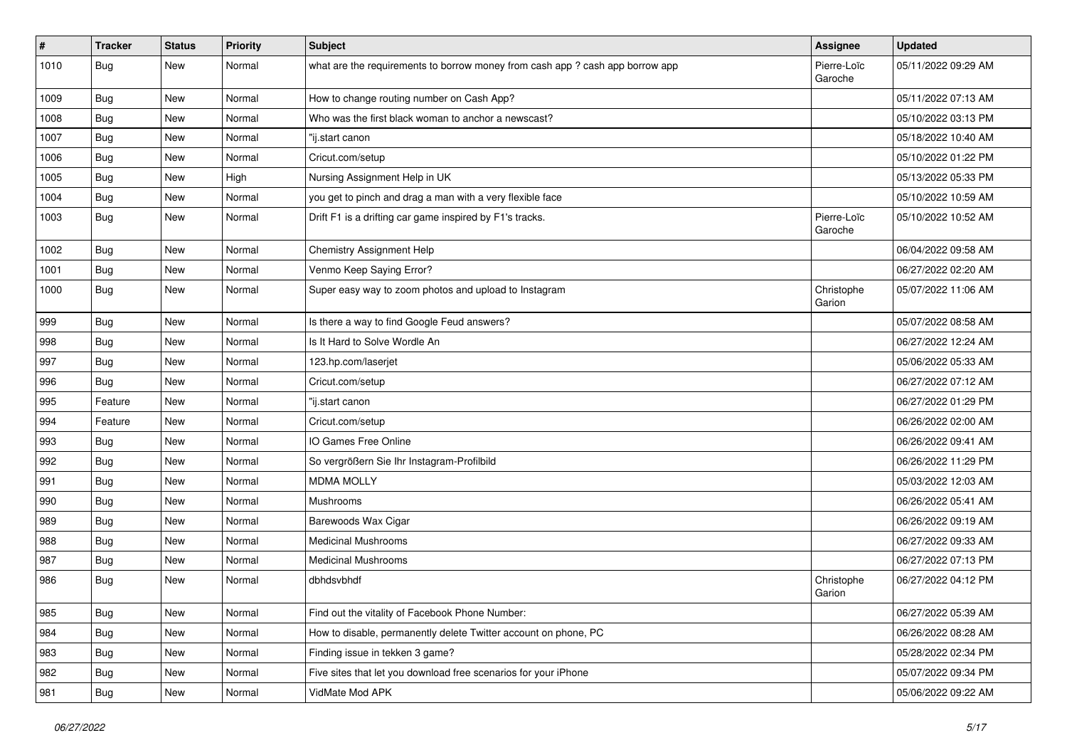| $\vert$ # | <b>Tracker</b> | <b>Status</b> | <b>Priority</b> | <b>Subject</b>                                                                | <b>Assignee</b>        | <b>Updated</b>      |
|-----------|----------------|---------------|-----------------|-------------------------------------------------------------------------------|------------------------|---------------------|
| 1010      | <b>Bug</b>     | New           | Normal          | what are the requirements to borrow money from cash app ? cash app borrow app | Pierre-Loïc<br>Garoche | 05/11/2022 09:29 AM |
| 1009      | Bug            | New           | Normal          | How to change routing number on Cash App?                                     |                        | 05/11/2022 07:13 AM |
| 1008      | Bug            | <b>New</b>    | Normal          | Who was the first black woman to anchor a newscast?                           |                        | 05/10/2022 03:13 PM |
| 1007      | Bug            | <b>New</b>    | Normal          | "ij.start canon                                                               |                        | 05/18/2022 10:40 AM |
| 1006      | Bug            | <b>New</b>    | Normal          | Cricut.com/setup                                                              |                        | 05/10/2022 01:22 PM |
| 1005      | Bug            | <b>New</b>    | High            | Nursing Assignment Help in UK                                                 |                        | 05/13/2022 05:33 PM |
| 1004      | Bug            | <b>New</b>    | Normal          | you get to pinch and drag a man with a very flexible face                     |                        | 05/10/2022 10:59 AM |
| 1003      | Bug            | New           | Normal          | Drift F1 is a drifting car game inspired by F1's tracks.                      | Pierre-Loïc<br>Garoche | 05/10/2022 10:52 AM |
| 1002      | Bug            | New           | Normal          | Chemistry Assignment Help                                                     |                        | 06/04/2022 09:58 AM |
| 1001      | Bug            | <b>New</b>    | Normal          | Venmo Keep Saying Error?                                                      |                        | 06/27/2022 02:20 AM |
| 1000      | Bug            | <b>New</b>    | Normal          | Super easy way to zoom photos and upload to Instagram                         | Christophe<br>Garion   | 05/07/2022 11:06 AM |
| 999       | Bug            | <b>New</b>    | Normal          | Is there a way to find Google Feud answers?                                   |                        | 05/07/2022 08:58 AM |
| 998       | Bug            | <b>New</b>    | Normal          | Is It Hard to Solve Wordle An                                                 |                        | 06/27/2022 12:24 AM |
| 997       | Bug            | <b>New</b>    | Normal          | 123.hp.com/laserjet                                                           |                        | 05/06/2022 05:33 AM |
| 996       | Bug            | <b>New</b>    | Normal          | Cricut.com/setup                                                              |                        | 06/27/2022 07:12 AM |
| 995       | Feature        | New           | Normal          | "ij.start canon                                                               |                        | 06/27/2022 01:29 PM |
| 994       | Feature        | <b>New</b>    | Normal          | Cricut.com/setup                                                              |                        | 06/26/2022 02:00 AM |
| 993       | Bug            | <b>New</b>    | Normal          | IO Games Free Online                                                          |                        | 06/26/2022 09:41 AM |
| 992       | Bug            | New           | Normal          | So vergrößern Sie Ihr Instagram-Profilbild                                    |                        | 06/26/2022 11:29 PM |
| 991       | Bug            | <b>New</b>    | Normal          | <b>MDMA MOLLY</b>                                                             |                        | 05/03/2022 12:03 AM |
| 990       | Bug            | New           | Normal          | Mushrooms                                                                     |                        | 06/26/2022 05:41 AM |
| 989       | Bug            | <b>New</b>    | Normal          | Barewoods Wax Cigar                                                           |                        | 06/26/2022 09:19 AM |
| 988       | Bug            | <b>New</b>    | Normal          | <b>Medicinal Mushrooms</b>                                                    |                        | 06/27/2022 09:33 AM |
| 987       | Bug            | New           | Normal          | <b>Medicinal Mushrooms</b>                                                    |                        | 06/27/2022 07:13 PM |
| 986       | Bug            | New           | Normal          | dbhdsvbhdf                                                                    | Christophe<br>Garion   | 06/27/2022 04:12 PM |
| 985       | Bug            | New           | Normal          | Find out the vitality of Facebook Phone Number:                               |                        | 06/27/2022 05:39 AM |
| 984       | <b>Bug</b>     | New           | Normal          | How to disable, permanently delete Twitter account on phone, PC               |                        | 06/26/2022 08:28 AM |
| 983       | Bug            | New           | Normal          | Finding issue in tekken 3 game?                                               |                        | 05/28/2022 02:34 PM |
| 982       | Bug            | New           | Normal          | Five sites that let you download free scenarios for your iPhone               |                        | 05/07/2022 09:34 PM |
| 981       | <b>Bug</b>     | New           | Normal          | VidMate Mod APK                                                               |                        | 05/06/2022 09:22 AM |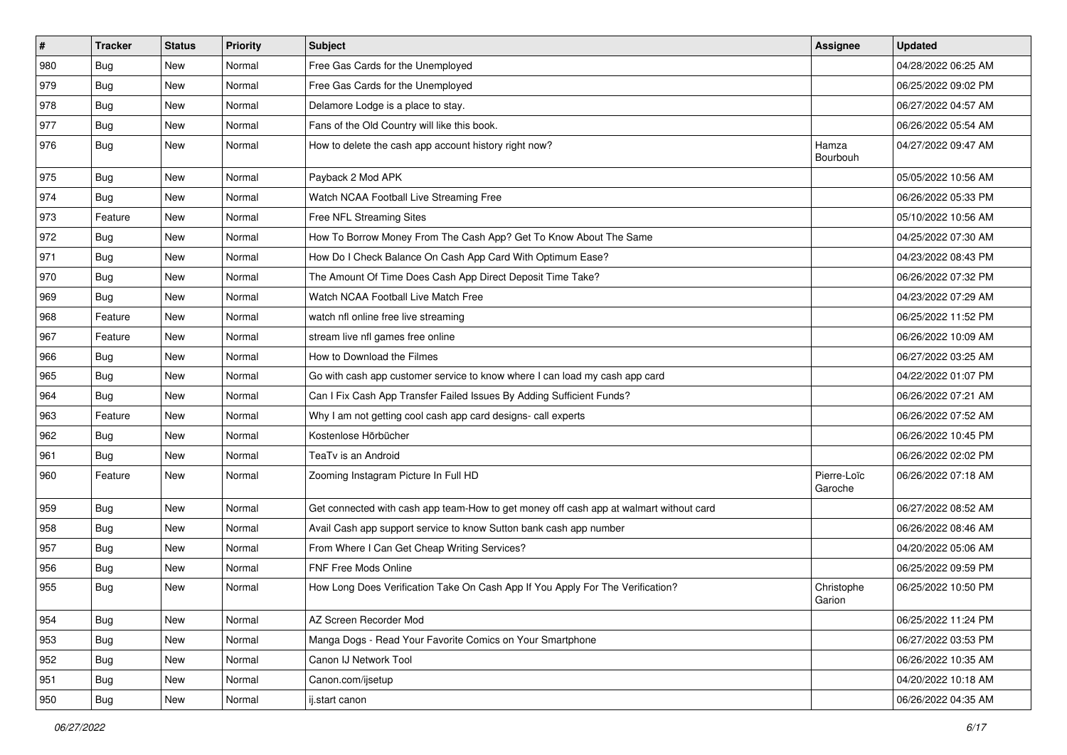| $\pmb{\#}$ | <b>Tracker</b> | <b>Status</b> | <b>Priority</b> | Subject                                                                                | Assignee               | <b>Updated</b>      |
|------------|----------------|---------------|-----------------|----------------------------------------------------------------------------------------|------------------------|---------------------|
| 980        | <b>Bug</b>     | New           | Normal          | Free Gas Cards for the Unemployed                                                      |                        | 04/28/2022 06:25 AM |
| 979        | Bug            | New           | Normal          | Free Gas Cards for the Unemployed                                                      |                        | 06/25/2022 09:02 PM |
| 978        | <b>Bug</b>     | New           | Normal          | Delamore Lodge is a place to stay.                                                     |                        | 06/27/2022 04:57 AM |
| 977        | <b>Bug</b>     | New           | Normal          | Fans of the Old Country will like this book.                                           |                        | 06/26/2022 05:54 AM |
| 976        | Bug            | New           | Normal          | How to delete the cash app account history right now?                                  | Hamza<br>Bourbouh      | 04/27/2022 09:47 AM |
| 975        | <b>Bug</b>     | <b>New</b>    | Normal          | Payback 2 Mod APK                                                                      |                        | 05/05/2022 10:56 AM |
| 974        | Bug            | New           | Normal          | Watch NCAA Football Live Streaming Free                                                |                        | 06/26/2022 05:33 PM |
| 973        | Feature        | New           | Normal          | Free NFL Streaming Sites                                                               |                        | 05/10/2022 10:56 AM |
| 972        | Bug            | <b>New</b>    | Normal          | How To Borrow Money From The Cash App? Get To Know About The Same                      |                        | 04/25/2022 07:30 AM |
| 971        | Bug            | New           | Normal          | How Do I Check Balance On Cash App Card With Optimum Ease?                             |                        | 04/23/2022 08:43 PM |
| 970        | Bug            | New           | Normal          | The Amount Of Time Does Cash App Direct Deposit Time Take?                             |                        | 06/26/2022 07:32 PM |
| 969        | <b>Bug</b>     | New           | Normal          | Watch NCAA Football Live Match Free                                                    |                        | 04/23/2022 07:29 AM |
| 968        | Feature        | New           | Normal          | watch nfl online free live streaming                                                   |                        | 06/25/2022 11:52 PM |
| 967        | Feature        | New           | Normal          | stream live nfl games free online                                                      |                        | 06/26/2022 10:09 AM |
| 966        | <b>Bug</b>     | New           | Normal          | How to Download the Filmes                                                             |                        | 06/27/2022 03:25 AM |
| 965        | <b>Bug</b>     | New           | Normal          | Go with cash app customer service to know where I can load my cash app card            |                        | 04/22/2022 01:07 PM |
| 964        | Bug            | New           | Normal          | Can I Fix Cash App Transfer Failed Issues By Adding Sufficient Funds?                  |                        | 06/26/2022 07:21 AM |
| 963        | Feature        | New           | Normal          | Why I am not getting cool cash app card designs- call experts                          |                        | 06/26/2022 07:52 AM |
| 962        | Bug            | New           | Normal          | Kostenlose Hörbücher                                                                   |                        | 06/26/2022 10:45 PM |
| 961        | <b>Bug</b>     | New           | Normal          | TeaTv is an Android                                                                    |                        | 06/26/2022 02:02 PM |
| 960        | Feature        | New           | Normal          | Zooming Instagram Picture In Full HD                                                   | Pierre-Loïc<br>Garoche | 06/26/2022 07:18 AM |
| 959        | Bug            | New           | Normal          | Get connected with cash app team-How to get money off cash app at walmart without card |                        | 06/27/2022 08:52 AM |
| 958        | <b>Bug</b>     | New           | Normal          | Avail Cash app support service to know Sutton bank cash app number                     |                        | 06/26/2022 08:46 AM |
| 957        | Bug            | New           | Normal          | From Where I Can Get Cheap Writing Services?                                           |                        | 04/20/2022 05:06 AM |
| 956        | <b>Bug</b>     | <b>New</b>    | Normal          | <b>FNF Free Mods Online</b>                                                            |                        | 06/25/2022 09:59 PM |
| 955        | <b>Bug</b>     | New           | Normal          | How Long Does Verification Take On Cash App If You Apply For The Verification?         | Christophe<br>Garion   | 06/25/2022 10:50 PM |
| 954        | Bug            | New           | Normal          | AZ Screen Recorder Mod                                                                 |                        | 06/25/2022 11:24 PM |
| 953        | Bug            | <b>New</b>    | Normal          | Manga Dogs - Read Your Favorite Comics on Your Smartphone                              |                        | 06/27/2022 03:53 PM |
| 952        | Bug            | New           | Normal          | Canon IJ Network Tool                                                                  |                        | 06/26/2022 10:35 AM |
| 951        | Bug            | New           | Normal          | Canon.com/ijsetup                                                                      |                        | 04/20/2022 10:18 AM |
| 950        | <b>Bug</b>     | New           | Normal          | ij.start canon                                                                         |                        | 06/26/2022 04:35 AM |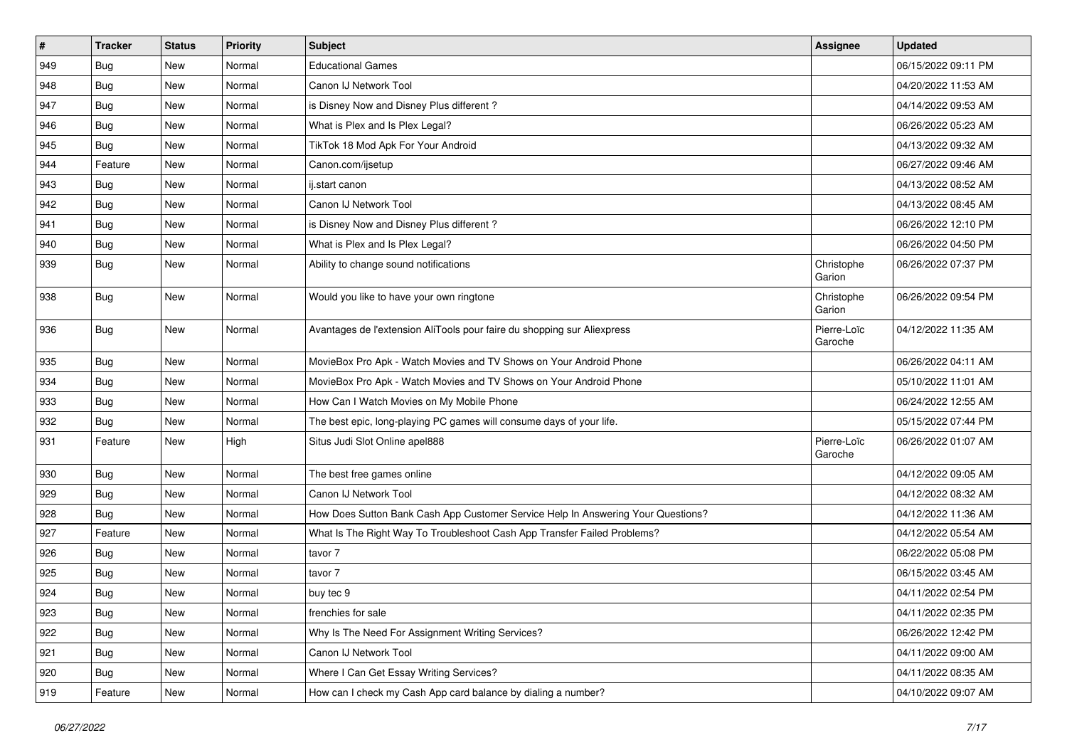| $\pmb{\#}$ | <b>Tracker</b> | <b>Status</b> | <b>Priority</b> | <b>Subject</b>                                                                   | Assignee               | <b>Updated</b>      |
|------------|----------------|---------------|-----------------|----------------------------------------------------------------------------------|------------------------|---------------------|
| 949        | <b>Bug</b>     | New           | Normal          | <b>Educational Games</b>                                                         |                        | 06/15/2022 09:11 PM |
| 948        | Bug            | <b>New</b>    | Normal          | Canon IJ Network Tool                                                            |                        | 04/20/2022 11:53 AM |
| 947        | <b>Bug</b>     | New           | Normal          | is Disney Now and Disney Plus different?                                         |                        | 04/14/2022 09:53 AM |
| 946        | <b>Bug</b>     | New           | Normal          | What is Plex and Is Plex Legal?                                                  |                        | 06/26/2022 05:23 AM |
| 945        | <b>Bug</b>     | <b>New</b>    | Normal          | TikTok 18 Mod Apk For Your Android                                               |                        | 04/13/2022 09:32 AM |
| 944        | Feature        | New           | Normal          | Canon.com/ijsetup                                                                |                        | 06/27/2022 09:46 AM |
| 943        | Bug            | <b>New</b>    | Normal          | ij.start canon                                                                   |                        | 04/13/2022 08:52 AM |
| 942        | Bug            | New           | Normal          | Canon IJ Network Tool                                                            |                        | 04/13/2022 08:45 AM |
| 941        | <b>Bug</b>     | New           | Normal          | is Disney Now and Disney Plus different?                                         |                        | 06/26/2022 12:10 PM |
| 940        | Bug            | <b>New</b>    | Normal          | What is Plex and Is Plex Legal?                                                  |                        | 06/26/2022 04:50 PM |
| 939        | Bug            | New           | Normal          | Ability to change sound notifications                                            | Christophe<br>Garion   | 06/26/2022 07:37 PM |
| 938        | <b>Bug</b>     | <b>New</b>    | Normal          | Would you like to have your own ringtone                                         | Christophe<br>Garion   | 06/26/2022 09:54 PM |
| 936        | Bug            | <b>New</b>    | Normal          | Avantages de l'extension AliTools pour faire du shopping sur Aliexpress          | Pierre-Loïc<br>Garoche | 04/12/2022 11:35 AM |
| 935        | <b>Bug</b>     | <b>New</b>    | Normal          | MovieBox Pro Apk - Watch Movies and TV Shows on Your Android Phone               |                        | 06/26/2022 04:11 AM |
| 934        | Bug            | New           | Normal          | MovieBox Pro Apk - Watch Movies and TV Shows on Your Android Phone               |                        | 05/10/2022 11:01 AM |
| 933        | Bug            | New           | Normal          | How Can I Watch Movies on My Mobile Phone                                        |                        | 06/24/2022 12:55 AM |
| 932        | Bug            | New           | Normal          | The best epic, long-playing PC games will consume days of your life.             |                        | 05/15/2022 07:44 PM |
| 931        | Feature        | <b>New</b>    | High            | Situs Judi Slot Online apel888                                                   | Pierre-Loïc<br>Garoche | 06/26/2022 01:07 AM |
| 930        | Bug            | <b>New</b>    | Normal          | The best free games online                                                       |                        | 04/12/2022 09:05 AM |
| 929        | Bug            | New           | Normal          | Canon IJ Network Tool                                                            |                        | 04/12/2022 08:32 AM |
| 928        | <b>Bug</b>     | <b>New</b>    | Normal          | How Does Sutton Bank Cash App Customer Service Help In Answering Your Questions? |                        | 04/12/2022 11:36 AM |
| 927        | Feature        | <b>New</b>    | Normal          | What Is The Right Way To Troubleshoot Cash App Transfer Failed Problems?         |                        | 04/12/2022 05:54 AM |
| 926        | Bug            | New           | Normal          | tavor 7                                                                          |                        | 06/22/2022 05:08 PM |
| 925        | Bug            | New           | Normal          | tavor 7                                                                          |                        | 06/15/2022 03:45 AM |
| 924        | <b>Bug</b>     | New           | Normal          | buy tec 9                                                                        |                        | 04/11/2022 02:54 PM |
| 923        | <b>Bug</b>     | New           | Normal          | frenchies for sale                                                               |                        | 04/11/2022 02:35 PM |
| 922        | <b>Bug</b>     | <b>New</b>    | Normal          | Why Is The Need For Assignment Writing Services?                                 |                        | 06/26/2022 12:42 PM |
| 921        | <b>Bug</b>     | New           | Normal          | Canon IJ Network Tool                                                            |                        | 04/11/2022 09:00 AM |
| 920        | Bug            | <b>New</b>    | Normal          | Where I Can Get Essay Writing Services?                                          |                        | 04/11/2022 08:35 AM |
| 919        | Feature        | New           | Normal          | How can I check my Cash App card balance by dialing a number?                    |                        | 04/10/2022 09:07 AM |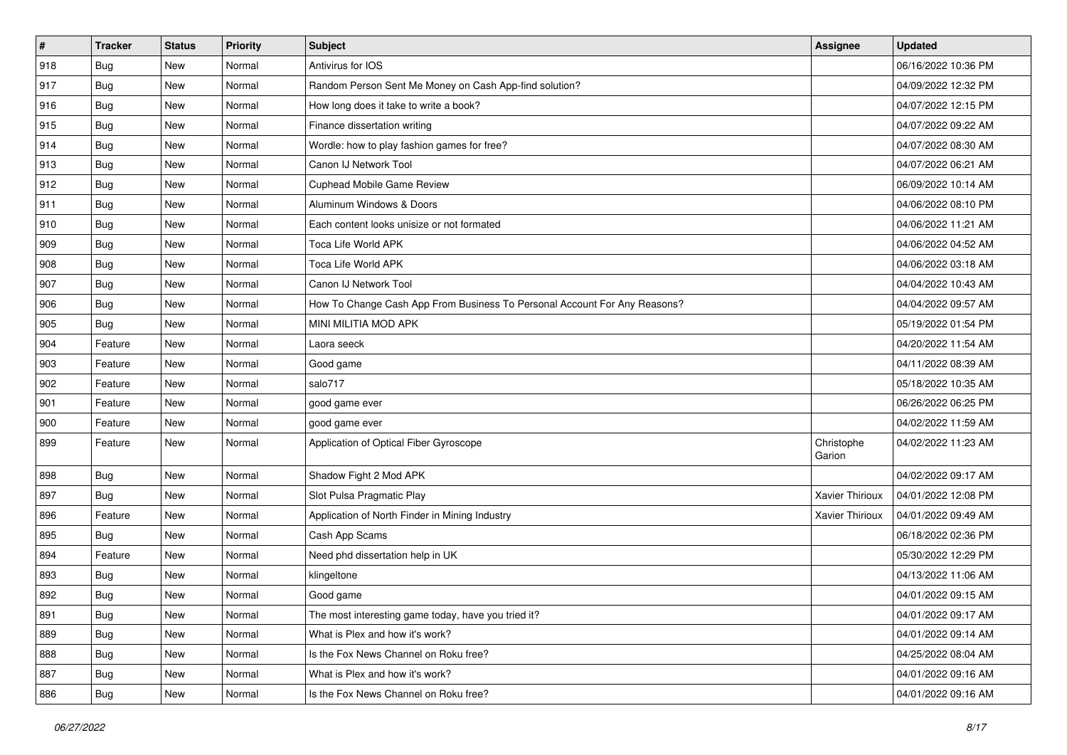| $\sharp$ | <b>Tracker</b> | <b>Status</b> | Priority | <b>Subject</b>                                                            | <b>Assignee</b>      | <b>Updated</b>      |
|----------|----------------|---------------|----------|---------------------------------------------------------------------------|----------------------|---------------------|
| 918      | <b>Bug</b>     | New           | Normal   | Antivirus for IOS                                                         |                      | 06/16/2022 10:36 PM |
| 917      | <b>Bug</b>     | New           | Normal   | Random Person Sent Me Money on Cash App-find solution?                    |                      | 04/09/2022 12:32 PM |
| 916      | Bug            | New           | Normal   | How long does it take to write a book?                                    |                      | 04/07/2022 12:15 PM |
| 915      | <b>Bug</b>     | New           | Normal   | Finance dissertation writing                                              |                      | 04/07/2022 09:22 AM |
| 914      | Bug            | New           | Normal   | Wordle: how to play fashion games for free?                               |                      | 04/07/2022 08:30 AM |
| 913      | <b>Bug</b>     | New           | Normal   | Canon IJ Network Tool                                                     |                      | 04/07/2022 06:21 AM |
| 912      | Bug            | New           | Normal   | <b>Cuphead Mobile Game Review</b>                                         |                      | 06/09/2022 10:14 AM |
| 911      | Bug            | New           | Normal   | Aluminum Windows & Doors                                                  |                      | 04/06/2022 08:10 PM |
| 910      | <b>Bug</b>     | New           | Normal   | Each content looks unisize or not formated                                |                      | 04/06/2022 11:21 AM |
| 909      | Bug            | New           | Normal   | Toca Life World APK                                                       |                      | 04/06/2022 04:52 AM |
| 908      | Bug            | New           | Normal   | Toca Life World APK                                                       |                      | 04/06/2022 03:18 AM |
| 907      | <b>Bug</b>     | New           | Normal   | Canon IJ Network Tool                                                     |                      | 04/04/2022 10:43 AM |
| 906      | Bug            | New           | Normal   | How To Change Cash App From Business To Personal Account For Any Reasons? |                      | 04/04/2022 09:57 AM |
| 905      | <b>Bug</b>     | New           | Normal   | MINI MILITIA MOD APK                                                      |                      | 05/19/2022 01:54 PM |
| 904      | Feature        | New           | Normal   | Laora seeck                                                               |                      | 04/20/2022 11:54 AM |
| 903      | Feature        | New           | Normal   | Good game                                                                 |                      | 04/11/2022 08:39 AM |
| 902      | Feature        | New           | Normal   | salo717                                                                   |                      | 05/18/2022 10:35 AM |
| 901      | Feature        | New           | Normal   | good game ever                                                            |                      | 06/26/2022 06:25 PM |
| 900      | Feature        | New           | Normal   | good game ever                                                            |                      | 04/02/2022 11:59 AM |
| 899      | Feature        | New           | Normal   | Application of Optical Fiber Gyroscope                                    | Christophe<br>Garion | 04/02/2022 11:23 AM |
| 898      | Bug            | New           | Normal   | Shadow Fight 2 Mod APK                                                    |                      | 04/02/2022 09:17 AM |
| 897      | Bug            | New           | Normal   | Slot Pulsa Pragmatic Play                                                 | Xavier Thirioux      | 04/01/2022 12:08 PM |
| 896      | Feature        | New           | Normal   | Application of North Finder in Mining Industry                            | Xavier Thirioux      | 04/01/2022 09:49 AM |
| 895      | <b>Bug</b>     | New           | Normal   | Cash App Scams                                                            |                      | 06/18/2022 02:36 PM |
| 894      | Feature        | New           | Normal   | Need phd dissertation help in UK                                          |                      | 05/30/2022 12:29 PM |
| 893      | <b>Bug</b>     | New           | Normal   | klingeltone                                                               |                      | 04/13/2022 11:06 AM |
| 892      | <b>Bug</b>     | New           | Normal   | Good game                                                                 |                      | 04/01/2022 09:15 AM |
| 891      | <b>Bug</b>     | New           | Normal   | The most interesting game today, have you tried it?                       |                      | 04/01/2022 09:17 AM |
| 889      | Bug            | New           | Normal   | What is Plex and how it's work?                                           |                      | 04/01/2022 09:14 AM |
| 888      | Bug            | New           | Normal   | Is the Fox News Channel on Roku free?                                     |                      | 04/25/2022 08:04 AM |
| 887      | <b>Bug</b>     | New           | Normal   | What is Plex and how it's work?                                           |                      | 04/01/2022 09:16 AM |
| 886      | <b>Bug</b>     | New           | Normal   | Is the Fox News Channel on Roku free?                                     |                      | 04/01/2022 09:16 AM |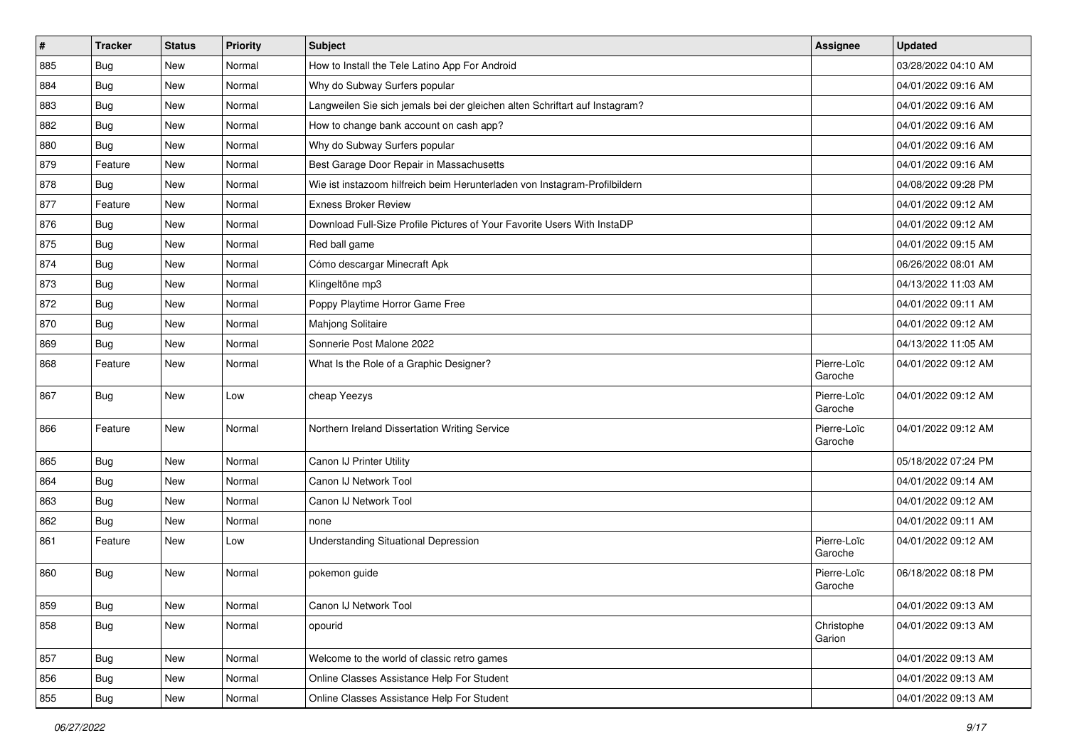| $\vert$ # | <b>Tracker</b> | <b>Status</b> | <b>Priority</b> | <b>Subject</b>                                                              | <b>Assignee</b>        | <b>Updated</b>      |
|-----------|----------------|---------------|-----------------|-----------------------------------------------------------------------------|------------------------|---------------------|
| 885       | <b>Bug</b>     | New           | Normal          | How to Install the Tele Latino App For Android                              |                        | 03/28/2022 04:10 AM |
| 884       | <b>Bug</b>     | <b>New</b>    | Normal          | Why do Subway Surfers popular                                               |                        | 04/01/2022 09:16 AM |
| 883       | Bug            | New           | Normal          | Langweilen Sie sich jemals bei der gleichen alten Schriftart auf Instagram? |                        | 04/01/2022 09:16 AM |
| 882       | Bug            | New           | Normal          | How to change bank account on cash app?                                     |                        | 04/01/2022 09:16 AM |
| 880       | Bug            | New           | Normal          | Why do Subway Surfers popular                                               |                        | 04/01/2022 09:16 AM |
| 879       | Feature        | New           | Normal          | Best Garage Door Repair in Massachusetts                                    |                        | 04/01/2022 09:16 AM |
| 878       | <b>Bug</b>     | New           | Normal          | Wie ist instazoom hilfreich beim Herunterladen von Instagram-Profilbildern  |                        | 04/08/2022 09:28 PM |
| 877       | Feature        | New           | Normal          | <b>Exness Broker Review</b>                                                 |                        | 04/01/2022 09:12 AM |
| 876       | Bug            | New           | Normal          | Download Full-Size Profile Pictures of Your Favorite Users With InstaDP     |                        | 04/01/2022 09:12 AM |
| 875       | Bug            | New           | Normal          | Red ball game                                                               |                        | 04/01/2022 09:15 AM |
| 874       | Bug            | New           | Normal          | Cómo descargar Minecraft Apk                                                |                        | 06/26/2022 08:01 AM |
| 873       | <b>Bug</b>     | New           | Normal          | Klingeltöne mp3                                                             |                        | 04/13/2022 11:03 AM |
| 872       | Bug            | New           | Normal          | Poppy Playtime Horror Game Free                                             |                        | 04/01/2022 09:11 AM |
| 870       | Bug            | New           | Normal          | Mahjong Solitaire                                                           |                        | 04/01/2022 09:12 AM |
| 869       | Bug            | New           | Normal          | Sonnerie Post Malone 2022                                                   |                        | 04/13/2022 11:05 AM |
| 868       | Feature        | New           | Normal          | What Is the Role of a Graphic Designer?                                     | Pierre-Loïc<br>Garoche | 04/01/2022 09:12 AM |
| 867       | Bug            | New           | Low             | cheap Yeezys                                                                | Pierre-Loïc<br>Garoche | 04/01/2022 09:12 AM |
| 866       | Feature        | New           | Normal          | Northern Ireland Dissertation Writing Service                               | Pierre-Loïc<br>Garoche | 04/01/2022 09:12 AM |
| 865       | Bug            | New           | Normal          | Canon IJ Printer Utility                                                    |                        | 05/18/2022 07:24 PM |
| 864       | Bug            | New           | Normal          | Canon IJ Network Tool                                                       |                        | 04/01/2022 09:14 AM |
| 863       | Bug            | New           | Normal          | Canon IJ Network Tool                                                       |                        | 04/01/2022 09:12 AM |
| 862       | Bug            | New           | Normal          | none                                                                        |                        | 04/01/2022 09:11 AM |
| 861       | Feature        | New           | Low             | <b>Understanding Situational Depression</b>                                 | Pierre-Loïc<br>Garoche | 04/01/2022 09:12 AM |
| 860       | Bug            | New           | Normal          | pokemon guide                                                               | Pierre-Loïc<br>Garoche | 06/18/2022 08:18 PM |
| 859       | Bug            | New           | Normal          | Canon IJ Network Tool                                                       |                        | 04/01/2022 09:13 AM |
| 858       | Bug            | New           | Normal          | opourid                                                                     | Christophe<br>Garion   | 04/01/2022 09:13 AM |
| 857       | Bug            | New           | Normal          | Welcome to the world of classic retro games                                 |                        | 04/01/2022 09:13 AM |
| 856       | Bug            | New           | Normal          | Online Classes Assistance Help For Student                                  |                        | 04/01/2022 09:13 AM |
| 855       | Bug            | New           | Normal          | Online Classes Assistance Help For Student                                  |                        | 04/01/2022 09:13 AM |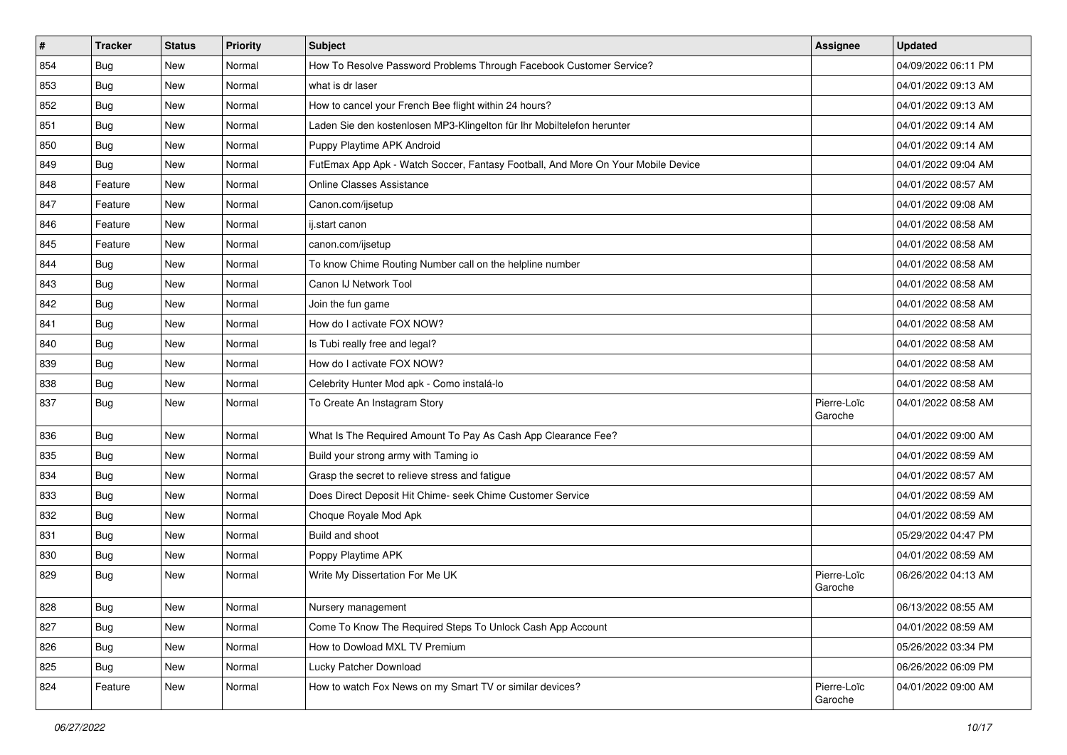| #   | <b>Tracker</b> | <b>Status</b> | <b>Priority</b> | <b>Subject</b>                                                                   | <b>Assignee</b>        | <b>Updated</b>      |
|-----|----------------|---------------|-----------------|----------------------------------------------------------------------------------|------------------------|---------------------|
| 854 | <b>Bug</b>     | New           | Normal          | How To Resolve Password Problems Through Facebook Customer Service?              |                        | 04/09/2022 06:11 PM |
| 853 | Bug            | New           | Normal          | what is dr laser                                                                 |                        | 04/01/2022 09:13 AM |
| 852 | Bug            | New           | Normal          | How to cancel your French Bee flight within 24 hours?                            |                        | 04/01/2022 09:13 AM |
| 851 | Bug            | New           | Normal          | Laden Sie den kostenlosen MP3-Klingelton für Ihr Mobiltelefon herunter           |                        | 04/01/2022 09:14 AM |
| 850 | Bug            | New           | Normal          | Puppy Playtime APK Android                                                       |                        | 04/01/2022 09:14 AM |
| 849 | Bug            | New           | Normal          | FutEmax App Apk - Watch Soccer, Fantasy Football, And More On Your Mobile Device |                        | 04/01/2022 09:04 AM |
| 848 | Feature        | New           | Normal          | <b>Online Classes Assistance</b>                                                 |                        | 04/01/2022 08:57 AM |
| 847 | Feature        | <b>New</b>    | Normal          | Canon.com/ijsetup                                                                |                        | 04/01/2022 09:08 AM |
| 846 | Feature        | New           | Normal          | ij.start canon                                                                   |                        | 04/01/2022 08:58 AM |
| 845 | Feature        | New           | Normal          | canon.com/ijsetup                                                                |                        | 04/01/2022 08:58 AM |
| 844 | Bug            | New           | Normal          | To know Chime Routing Number call on the helpline number                         |                        | 04/01/2022 08:58 AM |
| 843 | Bug            | New           | Normal          | Canon IJ Network Tool                                                            |                        | 04/01/2022 08:58 AM |
| 842 | Bug            | <b>New</b>    | Normal          | Join the fun game                                                                |                        | 04/01/2022 08:58 AM |
| 841 | Bug            | New           | Normal          | How do I activate FOX NOW?                                                       |                        | 04/01/2022 08:58 AM |
| 840 | <b>Bug</b>     | New           | Normal          | Is Tubi really free and legal?                                                   |                        | 04/01/2022 08:58 AM |
| 839 | Bug            | New           | Normal          | How do I activate FOX NOW?                                                       |                        | 04/01/2022 08:58 AM |
| 838 | Bug            | New           | Normal          | Celebrity Hunter Mod apk - Como instalá-lo                                       |                        | 04/01/2022 08:58 AM |
| 837 | <b>Bug</b>     | New           | Normal          | To Create An Instagram Story                                                     | Pierre-Loïc<br>Garoche | 04/01/2022 08:58 AM |
| 836 | Bug            | New           | Normal          | What Is The Required Amount To Pay As Cash App Clearance Fee?                    |                        | 04/01/2022 09:00 AM |
| 835 | Bug            | <b>New</b>    | Normal          | Build your strong army with Taming io                                            |                        | 04/01/2022 08:59 AM |
| 834 | Bug            | New           | Normal          | Grasp the secret to relieve stress and fatigue                                   |                        | 04/01/2022 08:57 AM |
| 833 | <b>Bug</b>     | New           | Normal          | Does Direct Deposit Hit Chime- seek Chime Customer Service                       |                        | 04/01/2022 08:59 AM |
| 832 | Bug            | New           | Normal          | Choque Royale Mod Apk                                                            |                        | 04/01/2022 08:59 AM |
| 831 | <b>Bug</b>     | New           | Normal          | Build and shoot                                                                  |                        | 05/29/2022 04:47 PM |
| 830 | <b>Bug</b>     | <b>New</b>    | Normal          | Poppy Playtime APK                                                               |                        | 04/01/2022 08:59 AM |
| 829 | <b>Bug</b>     | New           | Normal          | Write My Dissertation For Me UK                                                  | Pierre-Loïc<br>Garoche | 06/26/2022 04:13 AM |
| 828 | Bug            | New           | Normal          | Nursery management                                                               |                        | 06/13/2022 08:55 AM |
| 827 | Bug            | New           | Normal          | Come To Know The Required Steps To Unlock Cash App Account                       |                        | 04/01/2022 08:59 AM |
| 826 | <b>Bug</b>     | New           | Normal          | How to Dowload MXL TV Premium                                                    |                        | 05/26/2022 03:34 PM |
| 825 | Bug            | New           | Normal          | Lucky Patcher Download                                                           |                        | 06/26/2022 06:09 PM |
| 824 | Feature        | New           | Normal          | How to watch Fox News on my Smart TV or similar devices?                         | Pierre-Loïc<br>Garoche | 04/01/2022 09:00 AM |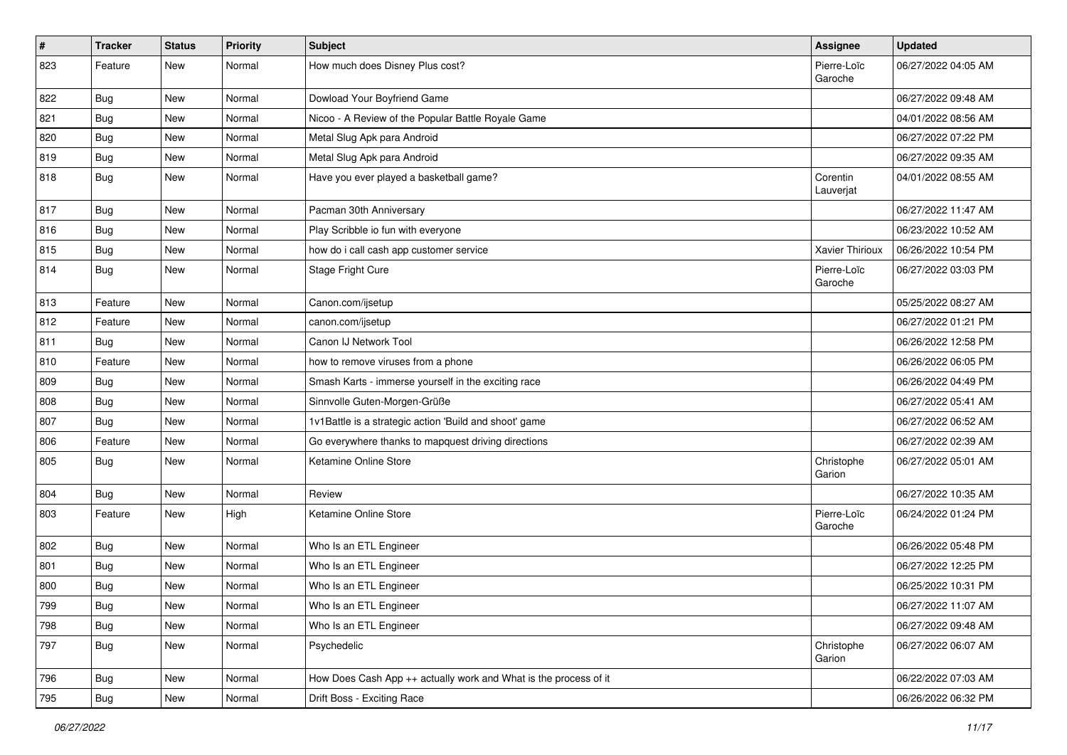| #   | Tracker    | <b>Status</b> | <b>Priority</b> | <b>Subject</b>                                                   | Assignee               | <b>Updated</b>      |
|-----|------------|---------------|-----------------|------------------------------------------------------------------|------------------------|---------------------|
| 823 | Feature    | New           | Normal          | How much does Disney Plus cost?                                  | Pierre-Loïc<br>Garoche | 06/27/2022 04:05 AM |
| 822 | <b>Bug</b> | New           | Normal          | Dowload Your Boyfriend Game                                      |                        | 06/27/2022 09:48 AM |
| 821 | <b>Bug</b> | New           | Normal          | Nicoo - A Review of the Popular Battle Royale Game               |                        | 04/01/2022 08:56 AM |
| 820 | Bug        | New           | Normal          | Metal Slug Apk para Android                                      |                        | 06/27/2022 07:22 PM |
| 819 | <b>Bug</b> | New           | Normal          | Metal Slug Apk para Android                                      |                        | 06/27/2022 09:35 AM |
| 818 | <b>Bug</b> | New           | Normal          | Have you ever played a basketball game?                          | Corentin<br>Lauverjat  | 04/01/2022 08:55 AM |
| 817 | <b>Bug</b> | New           | Normal          | Pacman 30th Anniversary                                          |                        | 06/27/2022 11:47 AM |
| 816 | Bug        | New           | Normal          | Play Scribble io fun with everyone                               |                        | 06/23/2022 10:52 AM |
| 815 | <b>Bug</b> | New           | Normal          | how do i call cash app customer service                          | <b>Xavier Thirioux</b> | 06/26/2022 10:54 PM |
| 814 | <b>Bug</b> | New           | Normal          | Stage Fright Cure                                                | Pierre-Loïc<br>Garoche | 06/27/2022 03:03 PM |
| 813 | Feature    | New           | Normal          | Canon.com/ijsetup                                                |                        | 05/25/2022 08:27 AM |
| 812 | Feature    | New           | Normal          | canon.com/ijsetup                                                |                        | 06/27/2022 01:21 PM |
| 811 | <b>Bug</b> | New           | Normal          | Canon IJ Network Tool                                            |                        | 06/26/2022 12:58 PM |
| 810 | Feature    | New           | Normal          | how to remove viruses from a phone                               |                        | 06/26/2022 06:05 PM |
| 809 | Bug        | New           | Normal          | Smash Karts - immerse yourself in the exciting race              |                        | 06/26/2022 04:49 PM |
| 808 | <b>Bug</b> | New           | Normal          | Sinnvolle Guten-Morgen-Grüße                                     |                        | 06/27/2022 05:41 AM |
| 807 | Bug        | New           | Normal          | 1v1Battle is a strategic action 'Build and shoot' game           |                        | 06/27/2022 06:52 AM |
| 806 | Feature    | New           | Normal          | Go everywhere thanks to mapquest driving directions              |                        | 06/27/2022 02:39 AM |
| 805 | <b>Bug</b> | New           | Normal          | Ketamine Online Store                                            | Christophe<br>Garion   | 06/27/2022 05:01 AM |
| 804 | Bug        | New           | Normal          | Review                                                           |                        | 06/27/2022 10:35 AM |
| 803 | Feature    | New           | High            | Ketamine Online Store                                            | Pierre-Loïc<br>Garoche | 06/24/2022 01:24 PM |
| 802 | <b>Bug</b> | New           | Normal          | Who Is an ETL Engineer                                           |                        | 06/26/2022 05:48 PM |
| 801 | <b>Bug</b> | New           | Normal          | Who Is an ETL Engineer                                           |                        | 06/27/2022 12:25 PM |
| 800 | <b>Bug</b> | New           | Normal          | Who Is an ETL Engineer                                           |                        | 06/25/2022 10:31 PM |
| 799 | <b>Bug</b> | New           | Normal          | Who Is an ETL Engineer                                           |                        | 06/27/2022 11:07 AM |
| 798 | Bug        | New           | Normal          | Who Is an ETL Engineer                                           |                        | 06/27/2022 09:48 AM |
| 797 | Bug        | New           | Normal          | Psychedelic                                                      | Christophe<br>Garion   | 06/27/2022 06:07 AM |
| 796 | <b>Bug</b> | New           | Normal          | How Does Cash App ++ actually work and What is the process of it |                        | 06/22/2022 07:03 AM |
| 795 | Bug        | New           | Normal          | Drift Boss - Exciting Race                                       |                        | 06/26/2022 06:32 PM |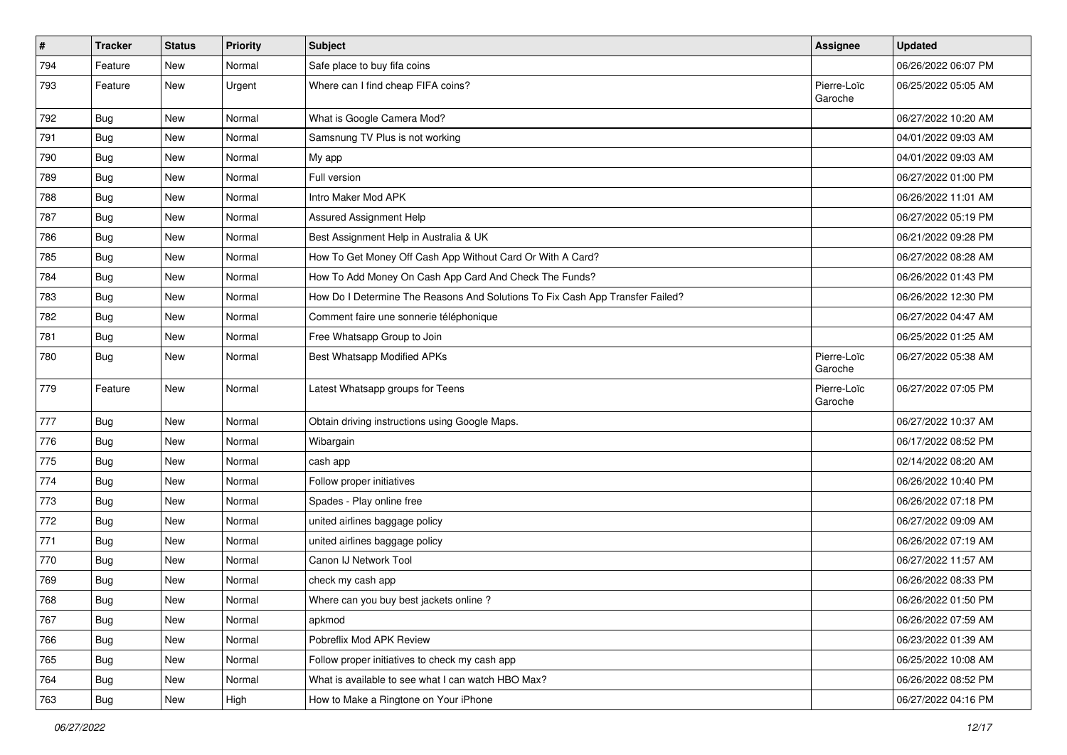| $\vert$ # | <b>Tracker</b> | <b>Status</b> | <b>Priority</b> | <b>Subject</b>                                                                | <b>Assignee</b>        | <b>Updated</b>      |
|-----------|----------------|---------------|-----------------|-------------------------------------------------------------------------------|------------------------|---------------------|
| 794       | Feature        | New           | Normal          | Safe place to buy fifa coins                                                  |                        | 06/26/2022 06:07 PM |
| 793       | Feature        | New           | Urgent          | Where can I find cheap FIFA coins?                                            | Pierre-Loïc<br>Garoche | 06/25/2022 05:05 AM |
| 792       | <b>Bug</b>     | New           | Normal          | What is Google Camera Mod?                                                    |                        | 06/27/2022 10:20 AM |
| 791       | Bug            | New           | Normal          | Samsnung TV Plus is not working                                               |                        | 04/01/2022 09:03 AM |
| 790       | <b>Bug</b>     | New           | Normal          | My app                                                                        |                        | 04/01/2022 09:03 AM |
| 789       | <b>Bug</b>     | New           | Normal          | Full version                                                                  |                        | 06/27/2022 01:00 PM |
| 788       | <b>Bug</b>     | New           | Normal          | Intro Maker Mod APK                                                           |                        | 06/26/2022 11:01 AM |
| 787       | <b>Bug</b>     | New           | Normal          | Assured Assignment Help                                                       |                        | 06/27/2022 05:19 PM |
| 786       | Bug            | New           | Normal          | Best Assignment Help in Australia & UK                                        |                        | 06/21/2022 09:28 PM |
| 785       | Bug            | New           | Normal          | How To Get Money Off Cash App Without Card Or With A Card?                    |                        | 06/27/2022 08:28 AM |
| 784       | <b>Bug</b>     | New           | Normal          | How To Add Money On Cash App Card And Check The Funds?                        |                        | 06/26/2022 01:43 PM |
| 783       | <b>Bug</b>     | New           | Normal          | How Do I Determine The Reasons And Solutions To Fix Cash App Transfer Failed? |                        | 06/26/2022 12:30 PM |
| 782       | <b>Bug</b>     | New           | Normal          | Comment faire une sonnerie téléphonique                                       |                        | 06/27/2022 04:47 AM |
| 781       | Bug            | New           | Normal          | Free Whatsapp Group to Join                                                   |                        | 06/25/2022 01:25 AM |
| 780       | <b>Bug</b>     | New           | Normal          | Best Whatsapp Modified APKs                                                   | Pierre-Loïc<br>Garoche | 06/27/2022 05:38 AM |
| 779       | Feature        | New           | Normal          | Latest Whatsapp groups for Teens                                              | Pierre-Loïc<br>Garoche | 06/27/2022 07:05 PM |
| 777       | Bug            | New           | Normal          | Obtain driving instructions using Google Maps.                                |                        | 06/27/2022 10:37 AM |
| 776       | Bug            | New           | Normal          | Wibargain                                                                     |                        | 06/17/2022 08:52 PM |
| 775       | <b>Bug</b>     | New           | Normal          | cash app                                                                      |                        | 02/14/2022 08:20 AM |
| 774       | <b>Bug</b>     | New           | Normal          | Follow proper initiatives                                                     |                        | 06/26/2022 10:40 PM |
| 773       | <b>Bug</b>     | New           | Normal          | Spades - Play online free                                                     |                        | 06/26/2022 07:18 PM |
| 772       | <b>Bug</b>     | New           | Normal          | united airlines baggage policy                                                |                        | 06/27/2022 09:09 AM |
| 771       | Bug            | New           | Normal          | united airlines baggage policy                                                |                        | 06/26/2022 07:19 AM |
| 770       | <b>Bug</b>     | New           | Normal          | Canon IJ Network Tool                                                         |                        | 06/27/2022 11:57 AM |
| 769       | <b>Bug</b>     | New           | Normal          | check my cash app                                                             |                        | 06/26/2022 08:33 PM |
| 768       | <b>Bug</b>     | New           | Normal          | Where can you buy best jackets online?                                        |                        | 06/26/2022 01:50 PM |
| 767       | Bug            | New           | Normal          | apkmod                                                                        |                        | 06/26/2022 07:59 AM |
| 766       | Bug            | New           | Normal          | Pobreflix Mod APK Review                                                      |                        | 06/23/2022 01:39 AM |
| 765       | Bug            | New           | Normal          | Follow proper initiatives to check my cash app                                |                        | 06/25/2022 10:08 AM |
| 764       | <b>Bug</b>     | New           | Normal          | What is available to see what I can watch HBO Max?                            |                        | 06/26/2022 08:52 PM |
| 763       | <b>Bug</b>     | New           | High            | How to Make a Ringtone on Your iPhone                                         |                        | 06/27/2022 04:16 PM |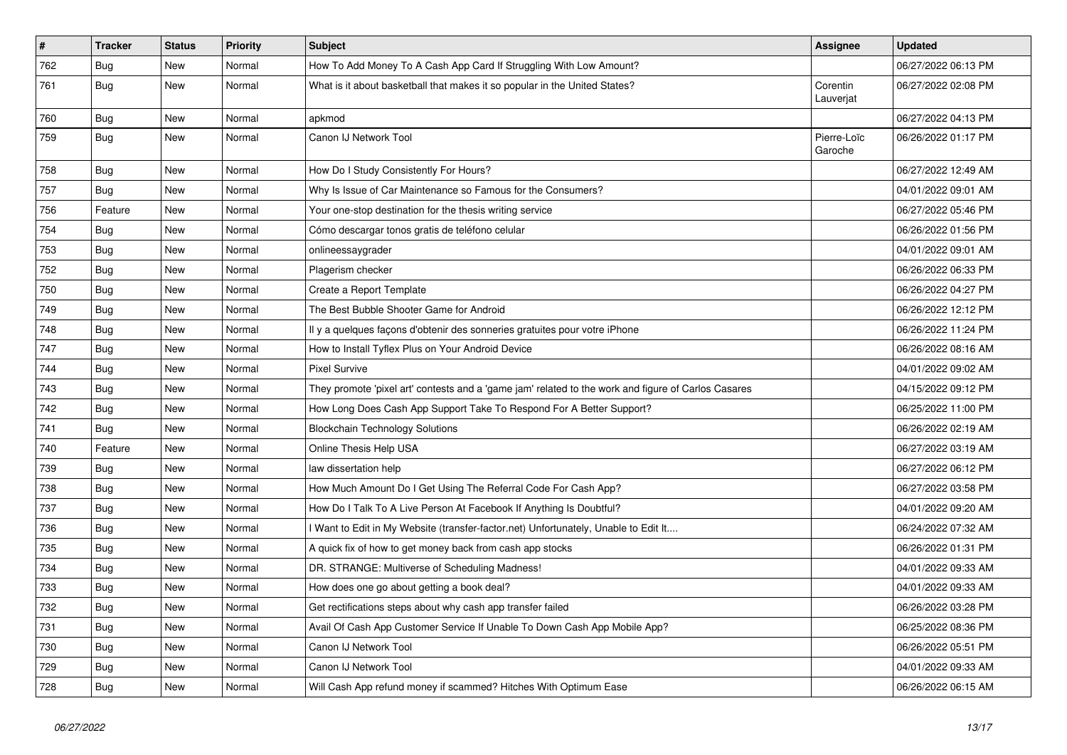| $\sharp$ | <b>Tracker</b> | <b>Status</b> | <b>Priority</b> | <b>Subject</b>                                                                                      | <b>Assignee</b>        | <b>Updated</b>      |
|----------|----------------|---------------|-----------------|-----------------------------------------------------------------------------------------------------|------------------------|---------------------|
| 762      | Bug            | <b>New</b>    | Normal          | How To Add Money To A Cash App Card If Struggling With Low Amount?                                  |                        | 06/27/2022 06:13 PM |
| 761      | Bug            | <b>New</b>    | Normal          | What is it about basketball that makes it so popular in the United States?                          | Corentin<br>Lauverjat  | 06/27/2022 02:08 PM |
| 760      | Bug            | <b>New</b>    | Normal          | apkmod                                                                                              |                        | 06/27/2022 04:13 PM |
| 759      | Bug            | New           | Normal          | Canon IJ Network Tool                                                                               | Pierre-Loïc<br>Garoche | 06/26/2022 01:17 PM |
| 758      | Bug            | <b>New</b>    | Normal          | How Do I Study Consistently For Hours?                                                              |                        | 06/27/2022 12:49 AM |
| 757      | Bug            | <b>New</b>    | Normal          | Why Is Issue of Car Maintenance so Famous for the Consumers?                                        |                        | 04/01/2022 09:01 AM |
| 756      | Feature        | New           | Normal          | Your one-stop destination for the thesis writing service                                            |                        | 06/27/2022 05:46 PM |
| 754      | Bug            | <b>New</b>    | Normal          | Cómo descargar tonos gratis de teléfono celular                                                     |                        | 06/26/2022 01:56 PM |
| 753      | <b>Bug</b>     | New           | Normal          | onlineessaygrader                                                                                   |                        | 04/01/2022 09:01 AM |
| 752      | Bug            | <b>New</b>    | Normal          | Plagerism checker                                                                                   |                        | 06/26/2022 06:33 PM |
| 750      | Bug            | <b>New</b>    | Normal          | Create a Report Template                                                                            |                        | 06/26/2022 04:27 PM |
| 749      | Bug            | <b>New</b>    | Normal          | The Best Bubble Shooter Game for Android                                                            |                        | 06/26/2022 12:12 PM |
| 748      | Bug            | <b>New</b>    | Normal          | Il y a quelques façons d'obtenir des sonneries gratuites pour votre iPhone                          |                        | 06/26/2022 11:24 PM |
| 747      | Bug            | New           | Normal          | How to Install Tyflex Plus on Your Android Device                                                   |                        | 06/26/2022 08:16 AM |
| 744      | Bug            | <b>New</b>    | Normal          | <b>Pixel Survive</b>                                                                                |                        | 04/01/2022 09:02 AM |
| 743      | Bug            | <b>New</b>    | Normal          | They promote 'pixel art' contests and a 'game jam' related to the work and figure of Carlos Casares |                        | 04/15/2022 09:12 PM |
| 742      | Bug            | <b>New</b>    | Normal          | How Long Does Cash App Support Take To Respond For A Better Support?                                |                        | 06/25/2022 11:00 PM |
| 741      | Bug            | <b>New</b>    | Normal          | <b>Blockchain Technology Solutions</b>                                                              |                        | 06/26/2022 02:19 AM |
| 740      | Feature        | New           | Normal          | Online Thesis Help USA                                                                              |                        | 06/27/2022 03:19 AM |
| 739      | Bug            | <b>New</b>    | Normal          | law dissertation help                                                                               |                        | 06/27/2022 06:12 PM |
| 738      | <b>Bug</b>     | <b>New</b>    | Normal          | How Much Amount Do I Get Using The Referral Code For Cash App?                                      |                        | 06/27/2022 03:58 PM |
| 737      | <b>Bug</b>     | <b>New</b>    | Normal          | How Do I Talk To A Live Person At Facebook If Anything Is Doubtful?                                 |                        | 04/01/2022 09:20 AM |
| 736      | Bug            | <b>New</b>    | Normal          | I Want to Edit in My Website (transfer-factor.net) Unfortunately, Unable to Edit It                 |                        | 06/24/2022 07:32 AM |
| 735      | Bug            | <b>New</b>    | Normal          | A quick fix of how to get money back from cash app stocks                                           |                        | 06/26/2022 01:31 PM |
| 734      | Bug            | New           | Normal          | DR. STRANGE: Multiverse of Scheduling Madness!                                                      |                        | 04/01/2022 09:33 AM |
| 733      | Bug            | New           | Normal          | How does one go about getting a book deal?                                                          |                        | 04/01/2022 09:33 AM |
| 732      | Bug            | New           | Normal          | Get rectifications steps about why cash app transfer failed                                         |                        | 06/26/2022 03:28 PM |
| 731      | Bug            | New           | Normal          | Avail Of Cash App Customer Service If Unable To Down Cash App Mobile App?                           |                        | 06/25/2022 08:36 PM |
| 730      | Bug            | <b>New</b>    | Normal          | Canon IJ Network Tool                                                                               |                        | 06/26/2022 05:51 PM |
| 729      | <b>Bug</b>     | <b>New</b>    | Normal          | Canon IJ Network Tool                                                                               |                        | 04/01/2022 09:33 AM |
| 728      | <b>Bug</b>     | <b>New</b>    | Normal          | Will Cash App refund money if scammed? Hitches With Optimum Ease                                    |                        | 06/26/2022 06:15 AM |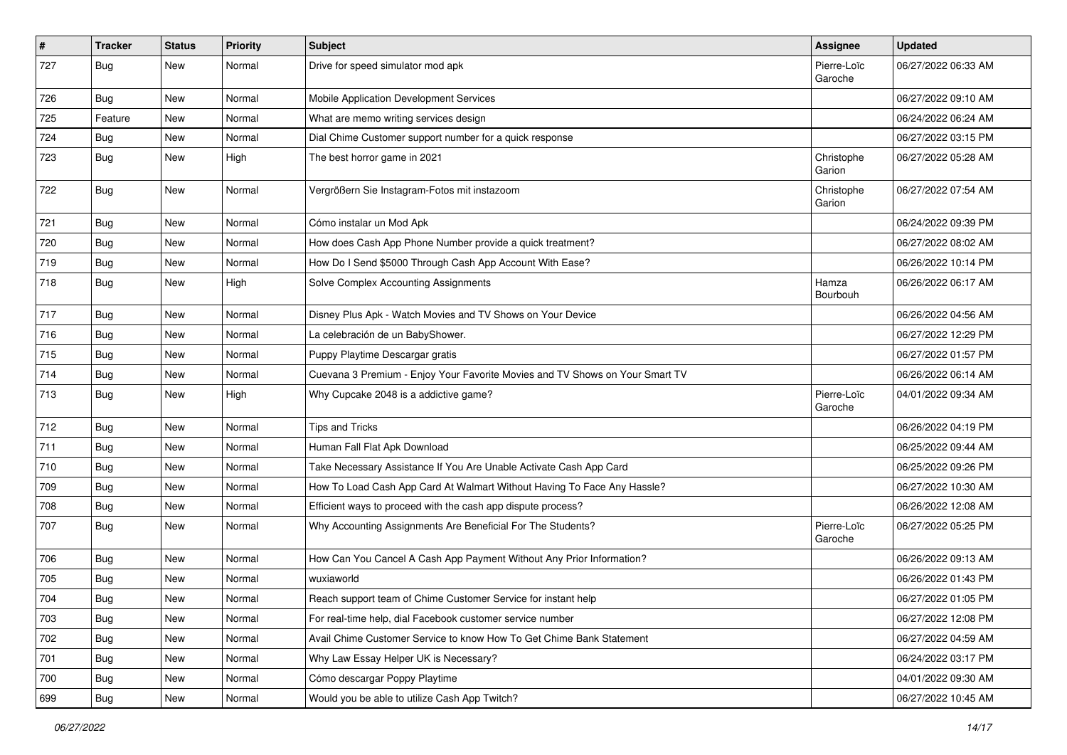| $\pmb{\#}$ | <b>Tracker</b> | <b>Status</b> | <b>Priority</b> | Subject                                                                      | Assignee               | <b>Updated</b>      |
|------------|----------------|---------------|-----------------|------------------------------------------------------------------------------|------------------------|---------------------|
| 727        | Bug            | New           | Normal          | Drive for speed simulator mod apk                                            | Pierre-Loïc<br>Garoche | 06/27/2022 06:33 AM |
| 726        | Bug            | New           | Normal          | Mobile Application Development Services                                      |                        | 06/27/2022 09:10 AM |
| 725        | Feature        | New           | Normal          | What are memo writing services design                                        |                        | 06/24/2022 06:24 AM |
| 724        | Bug            | New           | Normal          | Dial Chime Customer support number for a quick response                      |                        | 06/27/2022 03:15 PM |
| 723        | Bug            | New           | High            | The best horror game in 2021                                                 | Christophe<br>Garion   | 06/27/2022 05:28 AM |
| 722        | Bug            | New           | Normal          | Vergrößern Sie Instagram-Fotos mit instazoom                                 | Christophe<br>Garion   | 06/27/2022 07:54 AM |
| 721        | <b>Bug</b>     | <b>New</b>    | Normal          | Cómo instalar un Mod Apk                                                     |                        | 06/24/2022 09:39 PM |
| 720        | Bug            | New           | Normal          | How does Cash App Phone Number provide a quick treatment?                    |                        | 06/27/2022 08:02 AM |
| 719        | Bug            | New           | Normal          | How Do I Send \$5000 Through Cash App Account With Ease?                     |                        | 06/26/2022 10:14 PM |
| 718        | Bug            | New           | High            | Solve Complex Accounting Assignments                                         | Hamza<br>Bourbouh      | 06/26/2022 06:17 AM |
| 717        | Bug            | New           | Normal          | Disney Plus Apk - Watch Movies and TV Shows on Your Device                   |                        | 06/26/2022 04:56 AM |
| 716        | <b>Bug</b>     | New           | Normal          | La celebración de un BabyShower.                                             |                        | 06/27/2022 12:29 PM |
| 715        | Bug            | New           | Normal          | Puppy Playtime Descargar gratis                                              |                        | 06/27/2022 01:57 PM |
| 714        | Bug            | New           | Normal          | Cuevana 3 Premium - Enjoy Your Favorite Movies and TV Shows on Your Smart TV |                        | 06/26/2022 06:14 AM |
| 713        | Bug            | New           | High            | Why Cupcake 2048 is a addictive game?                                        | Pierre-Loïc<br>Garoche | 04/01/2022 09:34 AM |
| 712        | Bug            | <b>New</b>    | Normal          | <b>Tips and Tricks</b>                                                       |                        | 06/26/2022 04:19 PM |
| 711        | Bug            | New           | Normal          | Human Fall Flat Apk Download                                                 |                        | 06/25/2022 09:44 AM |
| 710        | <b>Bug</b>     | New           | Normal          | Take Necessary Assistance If You Are Unable Activate Cash App Card           |                        | 06/25/2022 09:26 PM |
| 709        | <b>Bug</b>     | New           | Normal          | How To Load Cash App Card At Walmart Without Having To Face Any Hassle?      |                        | 06/27/2022 10:30 AM |
| 708        | Bug            | New           | Normal          | Efficient ways to proceed with the cash app dispute process?                 |                        | 06/26/2022 12:08 AM |
| 707        | Bug            | New           | Normal          | Why Accounting Assignments Are Beneficial For The Students?                  | Pierre-Loïc<br>Garoche | 06/27/2022 05:25 PM |
| 706        | Bug            | New           | Normal          | How Can You Cancel A Cash App Payment Without Any Prior Information?         |                        | 06/26/2022 09:13 AM |
| 705        | Bug            | New           | Normal          | wuxiaworld                                                                   |                        | 06/26/2022 01:43 PM |
| 704        | Bug            | New           | Normal          | Reach support team of Chime Customer Service for instant help                |                        | 06/27/2022 01:05 PM |
| 703        | Bug            | New           | Normal          | For real-time help, dial Facebook customer service number                    |                        | 06/27/2022 12:08 PM |
| 702        | Bug            | New           | Normal          | Avail Chime Customer Service to know How To Get Chime Bank Statement         |                        | 06/27/2022 04:59 AM |
| 701        | Bug            | New           | Normal          | Why Law Essay Helper UK is Necessary?                                        |                        | 06/24/2022 03:17 PM |
| 700        | Bug            | New           | Normal          | Cómo descargar Poppy Playtime                                                |                        | 04/01/2022 09:30 AM |
| 699        | <b>Bug</b>     | New           | Normal          | Would you be able to utilize Cash App Twitch?                                |                        | 06/27/2022 10:45 AM |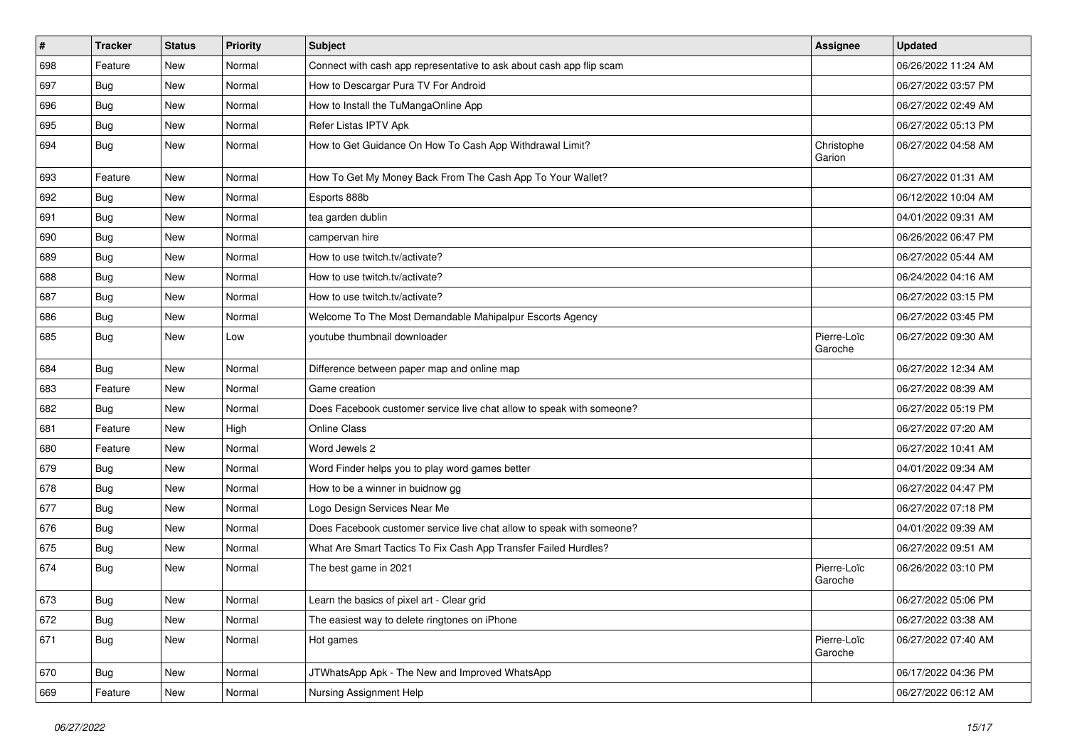| $\sharp$ | <b>Tracker</b> | <b>Status</b> | <b>Priority</b> | <b>Subject</b>                                                        | <b>Assignee</b>        | <b>Updated</b>      |
|----------|----------------|---------------|-----------------|-----------------------------------------------------------------------|------------------------|---------------------|
| 698      | Feature        | New           | Normal          | Connect with cash app representative to ask about cash app flip scam  |                        | 06/26/2022 11:24 AM |
| 697      | Bug            | <b>New</b>    | Normal          | How to Descargar Pura TV For Android                                  |                        | 06/27/2022 03:57 PM |
| 696      | Bug            | New           | Normal          | How to Install the TuMangaOnline App                                  |                        | 06/27/2022 02:49 AM |
| 695      | Bug            | New           | Normal          | Refer Listas IPTV Apk                                                 |                        | 06/27/2022 05:13 PM |
| 694      | Bug            | <b>New</b>    | Normal          | How to Get Guidance On How To Cash App Withdrawal Limit?              | Christophe<br>Garion   | 06/27/2022 04:58 AM |
| 693      | Feature        | New           | Normal          | How To Get My Money Back From The Cash App To Your Wallet?            |                        | 06/27/2022 01:31 AM |
| 692      | <b>Bug</b>     | New           | Normal          | Esports 888b                                                          |                        | 06/12/2022 10:04 AM |
| 691      | <b>Bug</b>     | <b>New</b>    | Normal          | tea garden dublin                                                     |                        | 04/01/2022 09:31 AM |
| 690      | <b>Bug</b>     | <b>New</b>    | Normal          | campervan hire                                                        |                        | 06/26/2022 06:47 PM |
| 689      | Bug            | New           | Normal          | How to use twitch.tv/activate?                                        |                        | 06/27/2022 05:44 AM |
| 688      | Bug            | New           | Normal          | How to use twitch.tv/activate?                                        |                        | 06/24/2022 04:16 AM |
| 687      | <b>Bug</b>     | <b>New</b>    | Normal          | How to use twitch.tv/activate?                                        |                        | 06/27/2022 03:15 PM |
| 686      | <b>Bug</b>     | <b>New</b>    | Normal          | Welcome To The Most Demandable Mahipalpur Escorts Agency              |                        | 06/27/2022 03:45 PM |
| 685      | Bug            | New           | Low             | youtube thumbnail downloader                                          | Pierre-Loïc<br>Garoche | 06/27/2022 09:30 AM |
| 684      | Bug            | <b>New</b>    | Normal          | Difference between paper map and online map                           |                        | 06/27/2022 12:34 AM |
| 683      | Feature        | New           | Normal          | Game creation                                                         |                        | 06/27/2022 08:39 AM |
| 682      | Bug            | New           | Normal          | Does Facebook customer service live chat allow to speak with someone? |                        | 06/27/2022 05:19 PM |
| 681      | Feature        | New           | High            | <b>Online Class</b>                                                   |                        | 06/27/2022 07:20 AM |
| 680      | Feature        | New           | Normal          | Word Jewels 2                                                         |                        | 06/27/2022 10:41 AM |
| 679      | Bug            | <b>New</b>    | Normal          | Word Finder helps you to play word games better                       |                        | 04/01/2022 09:34 AM |
| 678      | Bug            | <b>New</b>    | Normal          | How to be a winner in buidnow gg                                      |                        | 06/27/2022 04:47 PM |
| 677      | Bug            | New           | Normal          | Logo Design Services Near Me                                          |                        | 06/27/2022 07:18 PM |
| 676      | Bug            | <b>New</b>    | Normal          | Does Facebook customer service live chat allow to speak with someone? |                        | 04/01/2022 09:39 AM |
| 675      | Bug            | New           | Normal          | What Are Smart Tactics To Fix Cash App Transfer Failed Hurdles?       |                        | 06/27/2022 09:51 AM |
| 674      | Bug            | New           | Normal          | The best game in 2021                                                 | Pierre-Loïc<br>Garoche | 06/26/2022 03:10 PM |
| 673      | Bug            | New           | Normal          | Learn the basics of pixel art - Clear grid                            |                        | 06/27/2022 05:06 PM |
| 672      | Bug            | New           | Normal          | The easiest way to delete ringtones on iPhone                         |                        | 06/27/2022 03:38 AM |
| 671      | Bug            | New           | Normal          | Hot games                                                             | Pierre-Loïc<br>Garoche | 06/27/2022 07:40 AM |
| 670      | Bug            | New           | Normal          | JTWhatsApp Apk - The New and Improved WhatsApp                        |                        | 06/17/2022 04:36 PM |
| 669      | Feature        | New           | Normal          | Nursing Assignment Help                                               |                        | 06/27/2022 06:12 AM |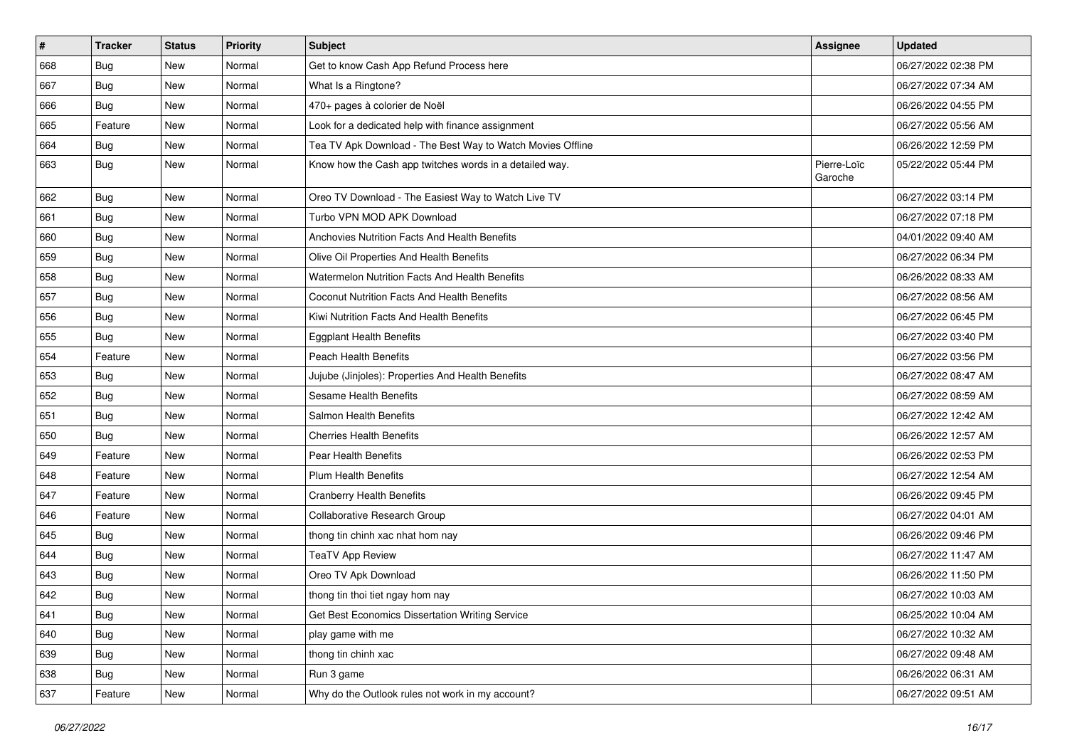| $\sharp$ | <b>Tracker</b> | <b>Status</b> | <b>Priority</b> | <b>Subject</b>                                             | <b>Assignee</b>        | <b>Updated</b>      |
|----------|----------------|---------------|-----------------|------------------------------------------------------------|------------------------|---------------------|
| 668      | <b>Bug</b>     | New           | Normal          | Get to know Cash App Refund Process here                   |                        | 06/27/2022 02:38 PM |
| 667      | Bug            | <b>New</b>    | Normal          | What Is a Ringtone?                                        |                        | 06/27/2022 07:34 AM |
| 666      | Bug            | New           | Normal          | 470+ pages à colorier de Noël                              |                        | 06/26/2022 04:55 PM |
| 665      | Feature        | <b>New</b>    | Normal          | Look for a dedicated help with finance assignment          |                        | 06/27/2022 05:56 AM |
| 664      | Bug            | <b>New</b>    | Normal          | Tea TV Apk Download - The Best Way to Watch Movies Offline |                        | 06/26/2022 12:59 PM |
| 663      | Bug            | New           | Normal          | Know how the Cash app twitches words in a detailed way.    | Pierre-Loïc<br>Garoche | 05/22/2022 05:44 PM |
| 662      | Bug            | <b>New</b>    | Normal          | Oreo TV Download - The Easiest Way to Watch Live TV        |                        | 06/27/2022 03:14 PM |
| 661      | Bug            | <b>New</b>    | Normal          | Turbo VPN MOD APK Download                                 |                        | 06/27/2022 07:18 PM |
| 660      | Bug            | <b>New</b>    | Normal          | Anchovies Nutrition Facts And Health Benefits              |                        | 04/01/2022 09:40 AM |
| 659      | Bug            | New           | Normal          | Olive Oil Properties And Health Benefits                   |                        | 06/27/2022 06:34 PM |
| 658      | Bug            | New           | Normal          | Watermelon Nutrition Facts And Health Benefits             |                        | 06/26/2022 08:33 AM |
| 657      | Bug            | <b>New</b>    | Normal          | Coconut Nutrition Facts And Health Benefits                |                        | 06/27/2022 08:56 AM |
| 656      | Bug            | New           | Normal          | Kiwi Nutrition Facts And Health Benefits                   |                        | 06/27/2022 06:45 PM |
| 655      | Bug            | <b>New</b>    | Normal          | <b>Eggplant Health Benefits</b>                            |                        | 06/27/2022 03:40 PM |
| 654      | Feature        | New           | Normal          | <b>Peach Health Benefits</b>                               |                        | 06/27/2022 03:56 PM |
| 653      | Bug            | New           | Normal          | Jujube (Jinjoles): Properties And Health Benefits          |                        | 06/27/2022 08:47 AM |
| 652      | Bug            | <b>New</b>    | Normal          | Sesame Health Benefits                                     |                        | 06/27/2022 08:59 AM |
| 651      | Bug            | New           | Normal          | Salmon Health Benefits                                     |                        | 06/27/2022 12:42 AM |
| 650      | Bug            | <b>New</b>    | Normal          | <b>Cherries Health Benefits</b>                            |                        | 06/26/2022 12:57 AM |
| 649      | Feature        | <b>New</b>    | Normal          | Pear Health Benefits                                       |                        | 06/26/2022 02:53 PM |
| 648      | Feature        | <b>New</b>    | Normal          | <b>Plum Health Benefits</b>                                |                        | 06/27/2022 12:54 AM |
| 647      | Feature        | <b>New</b>    | Normal          | <b>Cranberry Health Benefits</b>                           |                        | 06/26/2022 09:45 PM |
| 646      | Feature        | New           | Normal          | Collaborative Research Group                               |                        | 06/27/2022 04:01 AM |
| 645      | Bug            | New           | Normal          | thong tin chinh xac nhat hom nay                           |                        | 06/26/2022 09:46 PM |
| 644      | <b>Bug</b>     | <b>New</b>    | Normal          | <b>TeaTV App Review</b>                                    |                        | 06/27/2022 11:47 AM |
| 643      | <b>Bug</b>     | New           | Normal          | Oreo TV Apk Download                                       |                        | 06/26/2022 11:50 PM |
| 642      | <b>Bug</b>     | New           | Normal          | thong tin thoi tiet ngay hom nay                           |                        | 06/27/2022 10:03 AM |
| 641      | Bug            | New           | Normal          | Get Best Economics Dissertation Writing Service            |                        | 06/25/2022 10:04 AM |
| 640      | Bug            | New           | Normal          | play game with me                                          |                        | 06/27/2022 10:32 AM |
| 639      | <b>Bug</b>     | New           | Normal          | thong tin chinh xac                                        |                        | 06/27/2022 09:48 AM |
| 638      | Bug            | New           | Normal          | Run 3 game                                                 |                        | 06/26/2022 06:31 AM |
| 637      | Feature        | New           | Normal          | Why do the Outlook rules not work in my account?           |                        | 06/27/2022 09:51 AM |